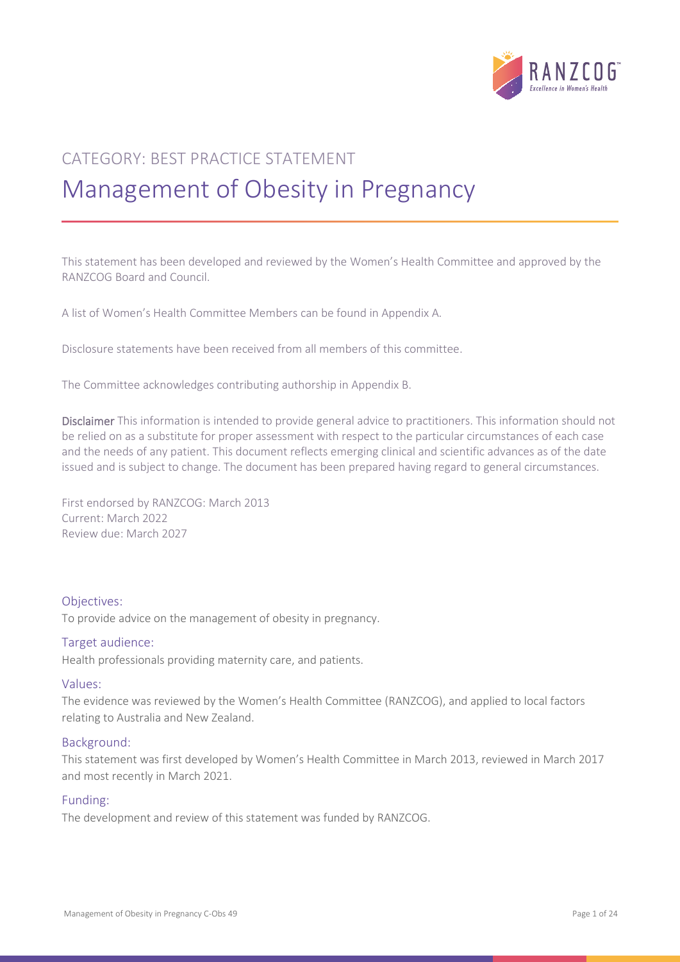

# CATEGORY: BEST PRACTICE STATEMENT Management of Obesity in Pregnancy

This statement has been developed and reviewed by the Women's Health Committee and approved by the RANZCOG Board and Council.

A list of Women's Health Committee Members can be found in Appendix A.

Disclosure statements have been received from all members of this committee.

The Committee acknowledges contributing authorship in Appendix B.

Disclaimer This information is intended to provide general advice to practitioners. This information should not be relied on as a substitute for proper assessment with respect to the particular circumstances of each case and the needs of any patient. This document reflects emerging clinical and scientific advances as of the date issued and is subject to change. The document has been prepared having regard to general circumstances.

First endorsed by RANZCOG: March 2013 Current: March 2022 Review due: March 2027

#### Objectives:

To provide advice on the management of obesity in pregnancy.

#### Target audience:

Health professionals providing maternity care, and patients.

#### Values:

The evidence was reviewed by the Women's Health Committee (RANZCOG), and applied to local factors relating to Australia and New Zealand.

#### Background:

This statement was first developed by Women's Health Committee in March 2013, reviewed in March 2017 and most recently in March 2021.

#### Funding:

The development and review of this statement was funded by RANZCOG.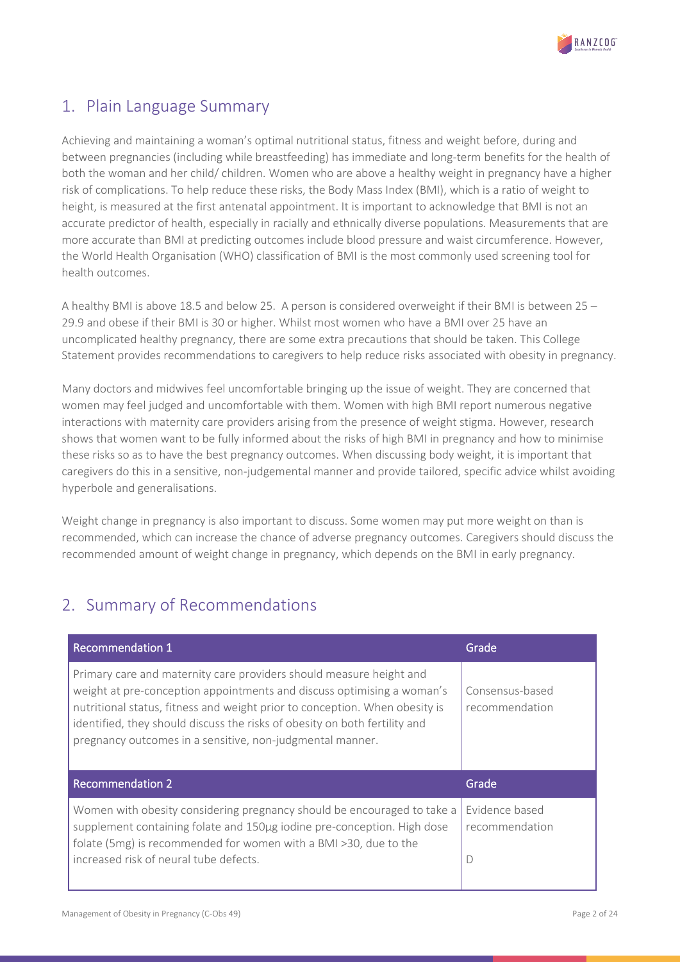

## 1. Plain Language Summary

Achieving and maintaining a woman's optimal nutritional status, fitness and weight before, during and between pregnancies (including while breastfeeding) has immediate and long-term benefits for the health of both the woman and her child/ children. Women who are above a healthy weight in pregnancy have a higher risk of complications. To help reduce these risks, the Body Mass Index (BMI), which is a ratio of weight to height, is measured at the first antenatal appointment. It is important to acknowledge that BMI is not an accurate predictor of health, especially in racially and ethnically diverse populations. Measurements that are more accurate than BMI at predicting outcomes include blood pressure and waist circumference. However, the World Health Organisation (WHO) classification of BMI is the most commonly used screening tool for health outcomes.

A healthy BMI is above 18.5 and below 25. A person is considered overweight if their BMI is between 25 – 29.9 and obese if their BMI is 30 or higher. Whilst most women who have a BMI over 25 have an uncomplicated healthy pregnancy, there are some extra precautions that should be taken. This College Statement provides recommendations to caregivers to help reduce risks associated with obesity in pregnancy.

Many doctors and midwives feel uncomfortable bringing up the issue of weight. They are concerned that women may feel judged and uncomfortable with them. Women with high BMI report numerous negative interactions with maternity care providers arising from the presence of weight stigma. However, research shows that women want to be fully informed about the risks of high BMI in pregnancy and how to minimise these risks so as to have the best pregnancy outcomes. When discussing body weight, it is important that caregivers do this in a sensitive, non-judgemental manner and provide tailored, specific advice whilst avoiding hyperbole and generalisations.

Weight change in pregnancy is also important to discuss. Some women may put more weight on than is recommended, which can increase the chance of adverse pregnancy outcomes. Caregivers should discuss the recommended amount of weight change in pregnancy, which depends on the BMI in early pregnancy.

## 2. Summary of Recommendations

| <b>Recommendation 1</b>                                                                                                                                                                                                                                                                                                                                                 | Grade                             |
|-------------------------------------------------------------------------------------------------------------------------------------------------------------------------------------------------------------------------------------------------------------------------------------------------------------------------------------------------------------------------|-----------------------------------|
| Primary care and maternity care providers should measure height and<br>weight at pre-conception appointments and discuss optimising a woman's<br>nutritional status, fitness and weight prior to conception. When obesity is<br>identified, they should discuss the risks of obesity on both fertility and<br>pregnancy outcomes in a sensitive, non-judgmental manner. | Consensus-based<br>recommendation |
| <b>Recommendation 2</b>                                                                                                                                                                                                                                                                                                                                                 | Grade                             |
| Women with obesity considering pregnancy should be encouraged to take a<br>supplement containing folate and 150µg iodine pre-conception. High dose                                                                                                                                                                                                                      | Evidence based                    |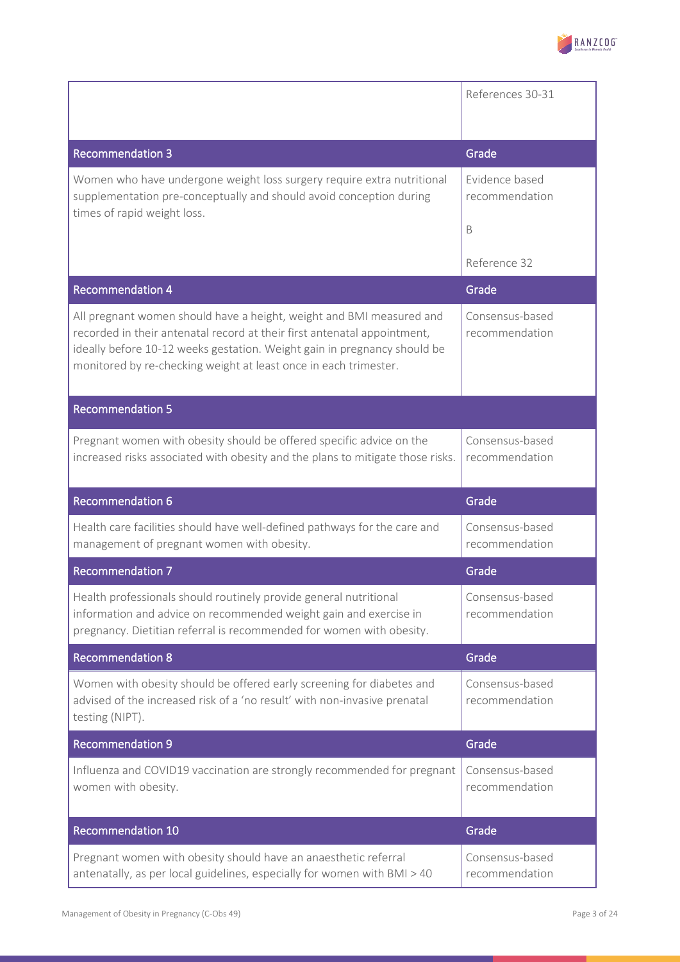

|                                                                                                                                                                                                                                                                                                  | References 30-31                  |
|--------------------------------------------------------------------------------------------------------------------------------------------------------------------------------------------------------------------------------------------------------------------------------------------------|-----------------------------------|
|                                                                                                                                                                                                                                                                                                  |                                   |
| <b>Recommendation 3</b>                                                                                                                                                                                                                                                                          | Grade                             |
| Women who have undergone weight loss surgery require extra nutritional<br>supplementation pre-conceptually and should avoid conception during<br>times of rapid weight loss.                                                                                                                     | Evidence based<br>recommendation  |
|                                                                                                                                                                                                                                                                                                  | B                                 |
|                                                                                                                                                                                                                                                                                                  | Reference 32                      |
| <b>Recommendation 4</b>                                                                                                                                                                                                                                                                          | Grade                             |
| All pregnant women should have a height, weight and BMI measured and<br>recorded in their antenatal record at their first antenatal appointment,<br>ideally before 10-12 weeks gestation. Weight gain in pregnancy should be<br>monitored by re-checking weight at least once in each trimester. | Consensus-based<br>recommendation |
| <b>Recommendation 5</b>                                                                                                                                                                                                                                                                          |                                   |
| Pregnant women with obesity should be offered specific advice on the<br>increased risks associated with obesity and the plans to mitigate those risks.                                                                                                                                           | Consensus-based<br>recommendation |
|                                                                                                                                                                                                                                                                                                  |                                   |
| <b>Recommendation 6</b>                                                                                                                                                                                                                                                                          | Grade                             |
| Health care facilities should have well-defined pathways for the care and<br>management of pregnant women with obesity.                                                                                                                                                                          | Consensus-based<br>recommendation |
| <b>Recommendation 7</b>                                                                                                                                                                                                                                                                          | Grade                             |
| Health professionals should routinely provide general nutritional<br>information and advice on recommended weight gain and exercise in<br>pregnancy. Dietitian referral is recommended for women with obesity.                                                                                   | Consensus-based<br>recommendation |
| <b>Recommendation 8</b>                                                                                                                                                                                                                                                                          | Grade                             |
| Women with obesity should be offered early screening for diabetes and<br>advised of the increased risk of a 'no result' with non-invasive prenatal<br>testing (NIPT).                                                                                                                            | Consensus-based<br>recommendation |
| <b>Recommendation 9</b>                                                                                                                                                                                                                                                                          | Grade                             |
| Influenza and COVID19 vaccination are strongly recommended for pregnant<br>women with obesity.                                                                                                                                                                                                   | Consensus-based<br>recommendation |
| Recommendation 10                                                                                                                                                                                                                                                                                | Grade                             |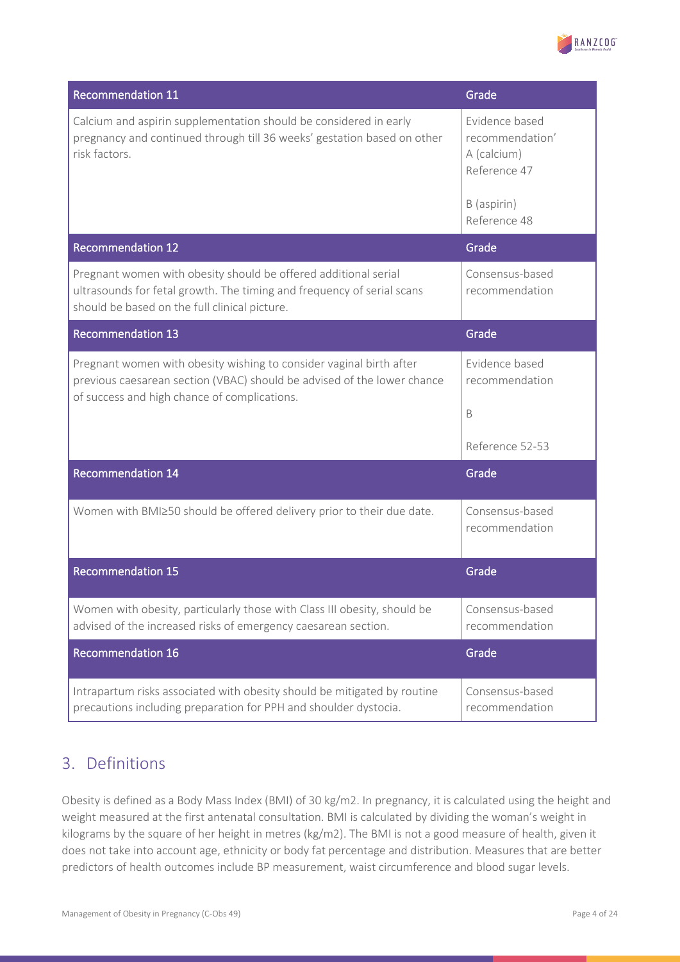

| <b>Recommendation 11</b>                                                                                                                                                                       | Grade                                                            |
|------------------------------------------------------------------------------------------------------------------------------------------------------------------------------------------------|------------------------------------------------------------------|
| Calcium and aspirin supplementation should be considered in early<br>pregnancy and continued through till 36 weeks' gestation based on other<br>risk factors.                                  | Evidence based<br>recommendation'<br>A (calcium)<br>Reference 47 |
|                                                                                                                                                                                                | B (aspirin)<br>Reference 48                                      |
| <b>Recommendation 12</b>                                                                                                                                                                       | Grade                                                            |
| Pregnant women with obesity should be offered additional serial<br>ultrasounds for fetal growth. The timing and frequency of serial scans<br>should be based on the full clinical picture.     | Consensus-based<br>recommendation                                |
| <b>Recommendation 13</b>                                                                                                                                                                       | Grade                                                            |
| Pregnant women with obesity wishing to consider vaginal birth after<br>previous caesarean section (VBAC) should be advised of the lower chance<br>of success and high chance of complications. | Evidence based<br>recommendation                                 |
|                                                                                                                                                                                                | B                                                                |
|                                                                                                                                                                                                | Reference 52-53                                                  |
| <b>Recommendation 14</b>                                                                                                                                                                       | Grade                                                            |
| Women with BMI250 should be offered delivery prior to their due date.                                                                                                                          | Consensus-based<br>recommendation                                |
| <b>Recommendation 15</b>                                                                                                                                                                       | Grade                                                            |
| Women with obesity, particularly those with Class III obesity, should be<br>advised of the increased risks of emergency caesarean section.                                                     | Consensus-based<br>recommendation                                |
| <b>Recommendation 16</b>                                                                                                                                                                       | Grade                                                            |
| Intrapartum risks associated with obesity should be mitigated by routine<br>precautions including preparation for PPH and shoulder dystocia.                                                   | Consensus-based<br>recommendation                                |

## 3. Definitions

Obesity is defined as a Body Mass Index (BMI) of 30 kg/m2. In pregnancy, it is calculated using the height and weight measured at the first antenatal consultation. BMI is calculated by dividing the woman's weight in kilograms by the square of her height in metres (kg/m2). The BMI is not a good measure of health, given it does not take into account age, ethnicity or body fat percentage and distribution. Measures that are better predictors of health outcomes include BP measurement, waist circumference and blood sugar levels.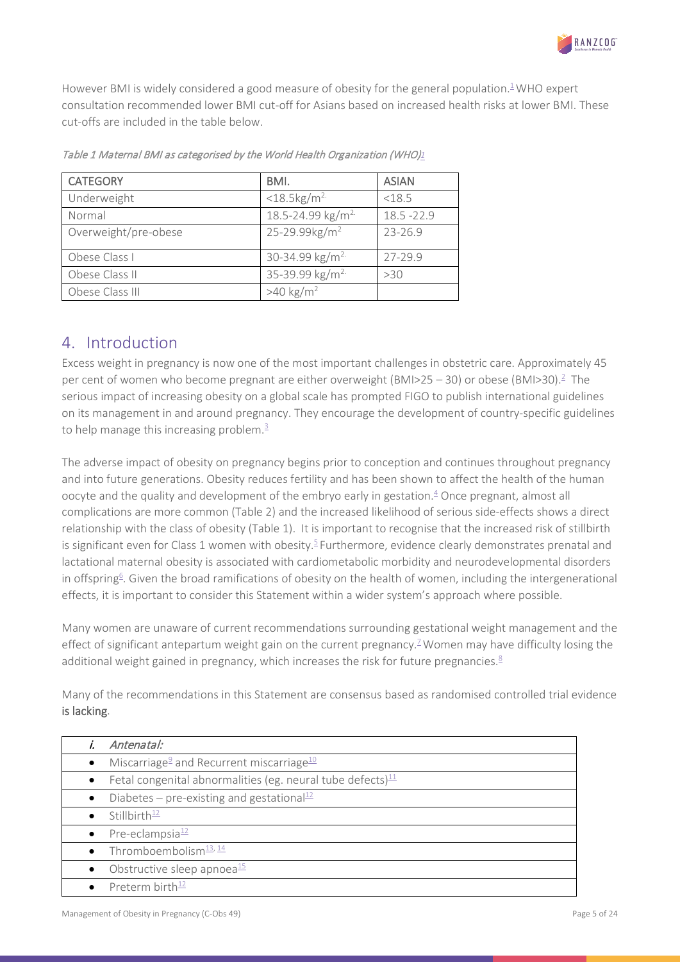

However BMI is widely considered a good measure of obesity for the general population. $\frac{1}{2}$ WHO expert consultation recommended lower BMI cut-off for Asians based on increased health risks at lower BMI. These cut-offs are included in the table below.

| <b>CATEGORY</b>      | BMI.                          | <b>ASIAN</b>  |
|----------------------|-------------------------------|---------------|
| Underweight          | $<$ 18.5kg/m <sup>2.</sup>    | < 18.5        |
| Normal               | 18.5-24.99 kg/m <sup>2.</sup> | $18.5 - 22.9$ |
| Overweight/pre-obese | 25-29.99kg/m <sup>2</sup>     | $23 - 26.9$   |
| Obese Class I        | 30-34.99 kg/m <sup>2.</sup>   | 27-29.9       |
| Obese Class II       | 35-39.99 kg/m <sup>2.</sup>   | >30           |
| Obese Class III      | $>40$ kg/m <sup>2</sup>       |               |

Table 1 Maternal BMI as categorised by the World Health Organization (WH[O\)](#page-16-0)*[1](#page-16-0)*

## 4. Introduction

Excess weight in pregnancy is now one of the most important challenges in obstetric care. Approximately 45 per cent of women who become pregnant are either overweight (BMI>25 - 30) or obese (BMI>30).<sup>2</sup> The serious impact of increasing obesity on a global scale has prompted FIGO to publish international guidelines on its management in and around pregnancy. They encourage the development of country-specific guidelines to help manage this increasing problem. $3$ 

The adverse impact of obesity on pregnancy begins prior to conception and continues throughout pregnancy and into future generations. Obesity reduces fertility and has been shown to affect the health of the human oocyte and the quality and development of the embryo early in gestation. $4$  Once pregnant, almost all complications are more common (Table 2) and the increased likelihood of serious side-effects shows a direct relationship with the class of obesity (Table 1). It is important to recognise that the increased risk of stillbirth is significant even for Class 1 women with obesity.<sup>[5](#page-16-4)</sup> Furthermore, evidence clearly demonstrates prenatal and lactational maternal obesity is associated with cardiometabolic morbidity and neurodevelopmental disorders in offspring<sup>6</sup>. Given the broad ramifications of obesity on the health of women, including the intergenerational effects, it is important to consider this Statement within a wider system's approach where possible.

Many women are unaware of current recommendations surrounding gestational weight management and the effect of significant antepartum weight gain on the current pregnancy.<sup>7</sup> Women may have difficulty losing the additional weight gained in pregnancy, which increases the risk for future pregnancies. $8$ 

Many of the recommendations in this Statement are consensus based as randomised controlled trial evidence is lacking.

| <i>i.</i> Antenatal:                                             |
|------------------------------------------------------------------|
| Miscarriage <sup>9</sup> and Recurrent miscarriage <sup>10</sup> |
| Fetal congenital abnormalities (eg. neural tube defects) $11$    |
| Diabetes – pre-existing and gestational <sup>12</sup>            |
| Stillbirth $\frac{12}{2}$                                        |
| Pre-eclampsia <sup>12</sup>                                      |
| Thromboembolism <sup>13, 14</sup>                                |
| Obstructive sleep apnoea <sup>15</sup>                           |
| Preterm birth <sup>12</sup>                                      |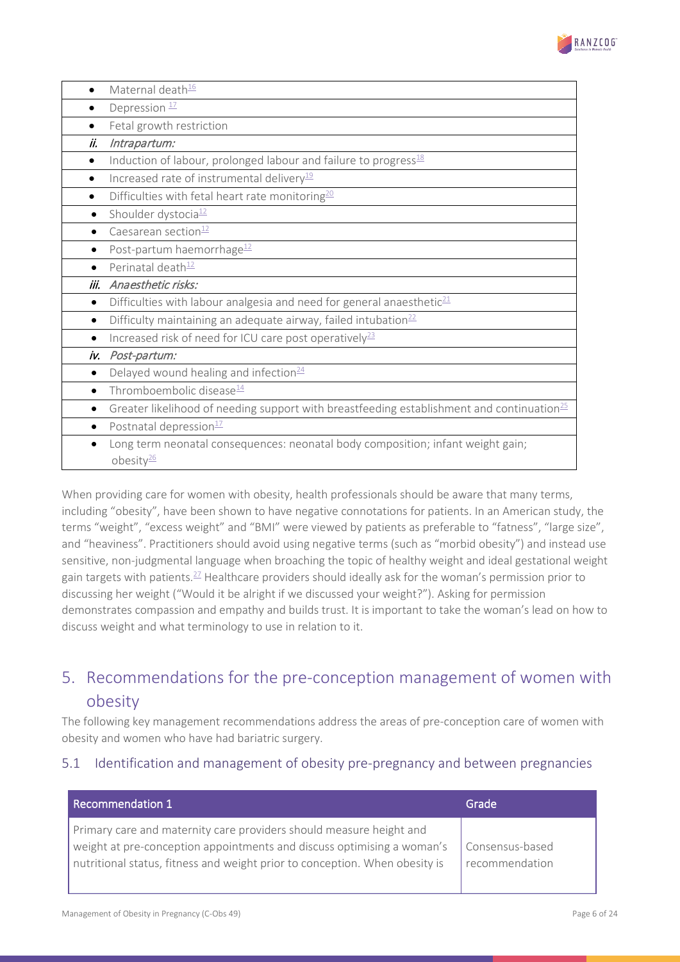

|           | Maternal death $16$                                                                                   |
|-----------|-------------------------------------------------------------------------------------------------------|
|           | Depression $17$                                                                                       |
|           | Fetal growth restriction                                                                              |
| ii.       | Intrapartum:                                                                                          |
| $\bullet$ | Induction of labour, prolonged labour and failure to progress <sup>18</sup>                           |
|           | Increased rate of instrumental delivery <sup>19</sup>                                                 |
| $\bullet$ | Difficulties with fetal heart rate monitoring $20$                                                    |
| $\bullet$ | Shoulder dystocia <sup>12</sup>                                                                       |
|           | Caesarean section <sup>12</sup>                                                                       |
|           | Post-partum haemorrhage <sup>12</sup>                                                                 |
|           | Perinatal death <sup>12</sup>                                                                         |
| iii.      | Anaesthetic risks:                                                                                    |
| $\bullet$ | Difficulties with labour analgesia and need for general anaesthetic <sup>21</sup>                     |
| $\bullet$ | Difficulty maintaining an adequate airway, failed intubation $^{22}$                                  |
| $\bullet$ | Increased risk of need for ICU care post operatively <sup>23</sup>                                    |
| iv.       | Post-partum:                                                                                          |
| $\bullet$ | Delayed wound healing and infection <sup>24</sup>                                                     |
|           | Thromboembolic disease <sup>14</sup>                                                                  |
|           | Greater likelihood of needing support with breastfeeding establishment and continuation <sup>25</sup> |
|           | Postnatal depression <sup>17</sup>                                                                    |
| $\bullet$ | Long term neonatal consequences: neonatal body composition; infant weight gain;                       |
|           | obesity $26$                                                                                          |

When providing care for women with obesity, health professionals should be aware that many terms, including "obesity", have been shown to have negative connotations for patients. In an American study, the terms "weight", "excess weight" and "BMI" were viewed by patients as preferable to "fatness", "large size", and "heaviness". Practitioners should avoid using negative terms (such as "morbid obesity") and instead use sensitive, non-judgmental language when broaching the topic of healthy weight and ideal gestational weight gain targets with patients.<sup>27</sup> Healthcare providers should ideally ask for the woman's permission prior to discussing her weight ("Would it be alright if we discussed your weight?"). Asking for permission demonstrates compassion and empathy and builds trust. It is important to take the woman's lead on how to discuss weight and what terminology to use in relation to it.

## 5. Recommendations for the pre-conception management of women with obesity

The following key management recommendations address the areas of pre-conception care of women with obesity and women who have had bariatric surgery.

### 5.1 Identification and management of obesity pre-pregnancy and between pregnancies

| <b>Recommendation 1</b>                                                                                                                                                                                                      | Grade                             |
|------------------------------------------------------------------------------------------------------------------------------------------------------------------------------------------------------------------------------|-----------------------------------|
| Primary care and maternity care providers should measure height and<br>weight at pre-conception appointments and discuss optimising a woman's<br>nutritional status, fitness and weight prior to conception. When obesity is | Consensus-based<br>recommendation |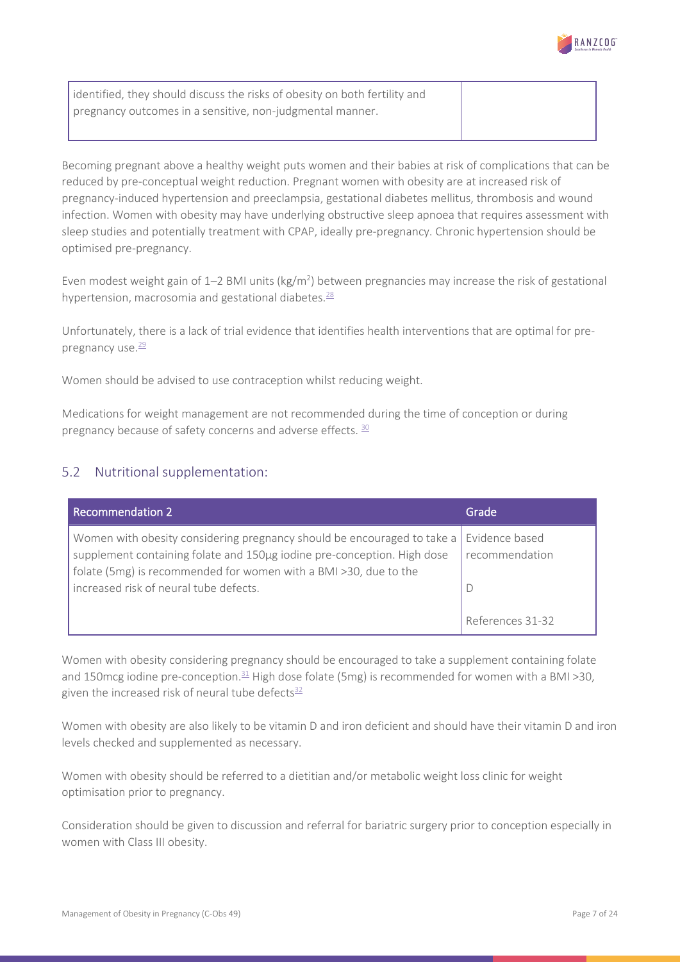

identified, they should discuss the risks of obesity on both fertility and pregnancy outcomes in a sensitive, non-judgmental manner.

Becoming pregnant above a healthy weight puts women and their babies at risk of complications that can be reduced by pre-conceptual weight reduction. Pregnant women with obesity are at increased risk of pregnancy-induced hypertension and preeclampsia, gestational diabetes mellitus, thrombosis and wound infection. Women with obesity may have underlying obstructive sleep apnoea that requires assessment with sleep studies and potentially treatment with CPAP, ideally pre-pregnancy. Chronic hypertension should be optimised pre-pregnancy.

Even modest weight gain of  $1-2$  BMI units (kg/m<sup>2</sup>) between pregnancies may increase the risk of gestational hypertension, macrosomia and gestational diabetes. $^{28}$ 

Unfortunately, there is a lack of trial evidence that identifies health interventions that are optimal for prepregnancy use. $\frac{29}{2}$ 

Women should be advised to use contraception whilst reducing weight.

Medications for weight management are not recommended during the time of conception or during pregnancy because of safety concerns and adverse effects. [30](#page-17-11)

#### 5.2 Nutritional supplementation:

| <b>Recommendation 2</b>                                                                                                                            | Grade                            |
|----------------------------------------------------------------------------------------------------------------------------------------------------|----------------------------------|
| Women with obesity considering pregnancy should be encouraged to take a<br>supplement containing folate and 150µg iodine pre-conception. High dose | Evidence based<br>recommendation |
| folate (5mg) is recommended for women with a BMI >30, due to the<br>increased risk of neural tube defects.                                         |                                  |
|                                                                                                                                                    | References 31-32                 |

Women with obesity considering pregnancy should be encouraged to take a supplement containing folate and 150mcg iodine pre-conception. $31$  High dose folate (5mg) is recommended for women with a BMI >30, given the increased risk of neural tube defects $\frac{32}{2}$ 

Women with obesity are also likely to be vitamin D and iron deficient and should have their vitamin D and iron levels checked and supplemented as necessary.

Women with obesity should be referred to a dietitian and/or metabolic weight loss clinic for weight optimisation prior to pregnancy.

Consideration should be given to discussion and referral for bariatric surgery prior to conception especially in women with Class III obesity.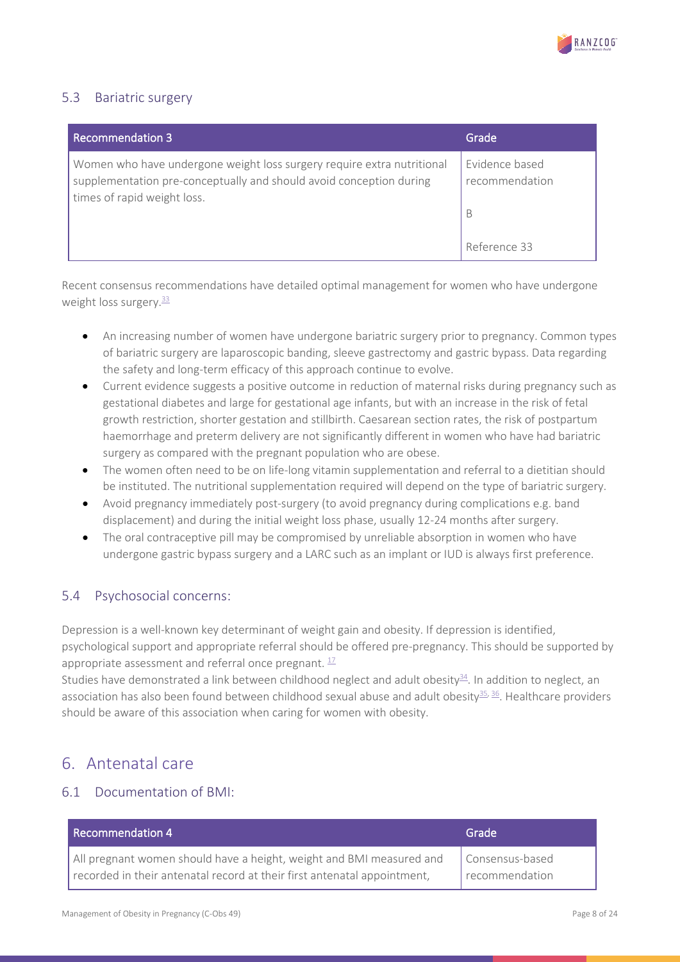

#### 5.3 Bariatric surgery

| <b>Recommendation 3</b>                                                                                                                                                      | Grade                                 |
|------------------------------------------------------------------------------------------------------------------------------------------------------------------------------|---------------------------------------|
| Women who have undergone weight loss surgery require extra nutritional<br>supplementation pre-conceptually and should avoid conception during<br>times of rapid weight loss. | Evidence based<br>recommendation<br>B |
|                                                                                                                                                                              | Reference 33                          |

Recent consensus recommendations have detailed optimal management for women who have undergone weight loss surgery.<sup>33</sup>

- An increasing number of women have undergone bariatric surgery prior to pregnancy. Common types of bariatric surgery are laparoscopic banding, sleeve gastrectomy and gastric bypass. Data regarding the safety and long-term efficacy of this approach continue to evolve.
- Current evidence suggests a positive outcome in reduction of maternal risks during pregnancy such as gestational diabetes and large for gestational age infants, but with an increase in the risk of fetal growth restriction, shorter gestation and stillbirth. Caesarean section rates, the risk of postpartum haemorrhage and preterm delivery are not significantly different in women who have had bariatric surgery as compared with the pregnant population who are obese.
- The women often need to be on life-long vitamin supplementation and referral to a dietitian should be instituted. The nutritional supplementation required will depend on the type of bariatric surgery.
- Avoid pregnancy immediately post-surgery (to avoid pregnancy during complications e.g. band displacement) and during the initial weight loss phase, usually 12-24 months after surgery.
- The oral contraceptive pill may be compromised by unreliable absorption in women who have undergone gastric bypass surgery and a LARC such as an implant or IUD is always first preference.

#### 5.4 Psychosocial concerns:

Depression is a well-known key determinant of weight gain and obesity. If depression is identified, psychological support and appropriate referral should be offered pre-pregnancy. This should be supported by appropriate assessment and referral once pregnant.  $\frac{17}{16}$ 

Studies have demonstrated a link between childhood neglect and adult obesity $34$ . In addition to neglect, an association has also been found between childhood sexual abuse and adult obesity<sup>35, 36</sup>. Healthcare providers should be aware of this association when caring for women with obesity.

## 6. Antenatal care

#### 6.1 Documentation of BMI:

| <b>Recommendation 4</b>                                                  | Grade            |
|--------------------------------------------------------------------------|------------------|
| All pregnant women should have a height, weight and BMI measured and     | Consensus-based  |
| recorded in their antenatal record at their first antenatal appointment, | I recommendation |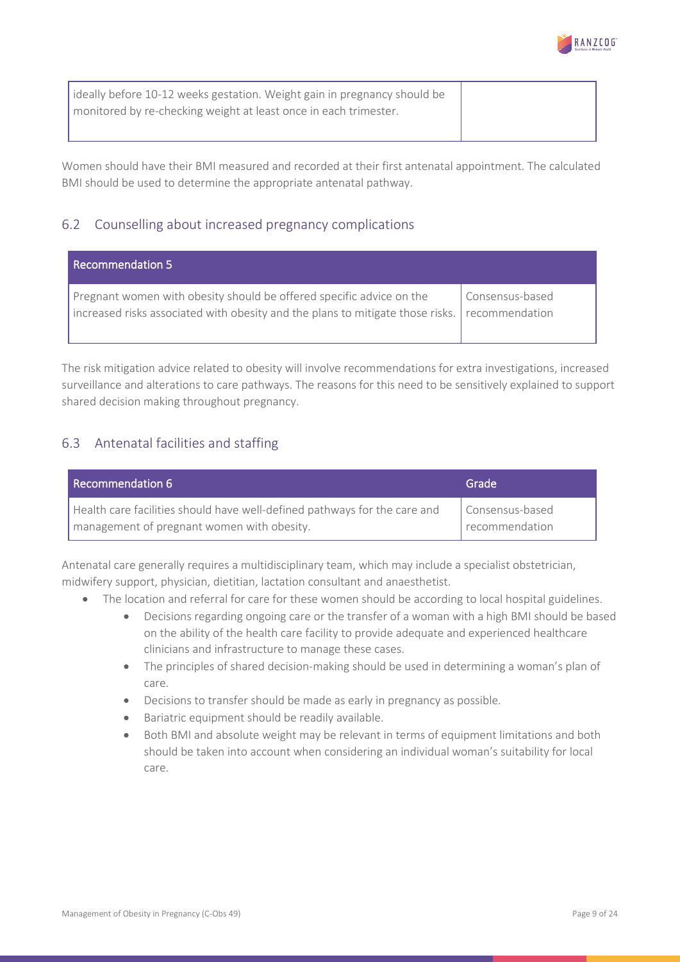

| ideally before 10-12 weeks gestation. Weight gain in pregnancy should be |  |
|--------------------------------------------------------------------------|--|
| monitored by re-checking weight at least once in each trimester.         |  |
|                                                                          |  |

Women should have their BMI measured and recorded at their first antenatal appointment. The calculated BMI should be used to determine the appropriate antenatal pathway.

#### 6.2 Counselling about increased pregnancy complications

| <b>Recommendation 5</b>                                                                                                                                               |                 |
|-----------------------------------------------------------------------------------------------------------------------------------------------------------------------|-----------------|
| Pregnant women with obesity should be offered specific advice on the<br>increased risks associated with obesity and the plans to mitigate those risks. recommendation | Consensus-based |

The risk mitigation advice related to obesity will involve recommendations for extra investigations, increased surveillance and alterations to care pathways. The reasons for this need to be sensitively explained to support shared decision making throughout pregnancy.

### 6.3 Antenatal facilities and staffing

| Recommendation 6                                                          | lGrade'                     |
|---------------------------------------------------------------------------|-----------------------------|
| Health care facilities should have well-defined pathways for the care and | Consensus-based             |
| management of pregnant women with obesity.                                | <sup>1</sup> recommendation |

Antenatal care generally requires a multidisciplinary team, which may include a specialist obstetrician, midwifery support, physician, dietitian, lactation consultant and anaesthetist.

- The location and referral for care for these women should be according to local hospital guidelines.
	- Decisions regarding ongoing care or the transfer of a woman with a high BMI should be based on the ability of the health care facility to provide adequate and experienced healthcare clinicians and infrastructure to manage these cases.
	- The principles of shared decision-making should be used in determining a woman's plan of care.
	- Decisions to transfer should be made as early in pregnancy as possible.
	- Bariatric equipment should be readily available.
	- Both BMI and absolute weight may be relevant in terms of equipment limitations and both should be taken into account when considering an individual woman's suitability for local care.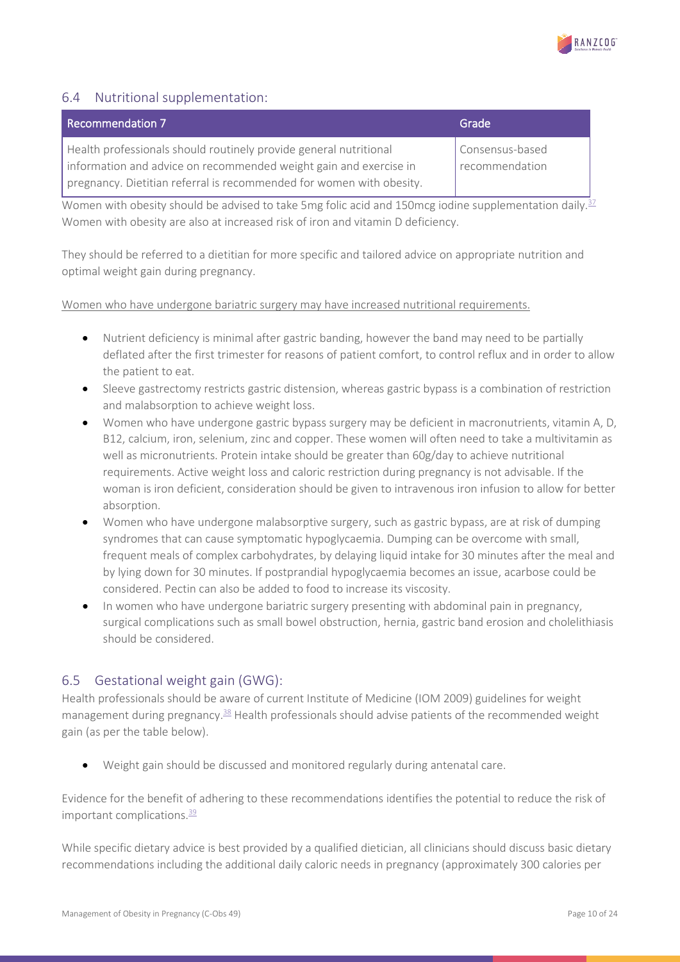

#### 6.4 Nutritional supplementation:

| Recommendation 7                                                     | Grade           |
|----------------------------------------------------------------------|-----------------|
| Health professionals should routinely provide general nutritional    | Consensus-based |
| Information and advice on recommended weight gain and exercise in    | recommendation  |
| pregnancy. Dietitian referral is recommended for women with obesity. |                 |

Women with obesity should be advised to take 5mg folic acid and 150mcg iodine supplementation daily.<sup>37</sup> Women with obesity are also at increased risk of iron and vitamin D deficiency.

They should be referred to a dietitian for more specific and tailored advice on appropriate nutrition and optimal weight gain during pregnancy.

#### Women who have undergone bariatric surgery may have increased nutritional requirements.

- Nutrient deficiency is minimal after gastric banding, however the band may need to be partially deflated after the first trimester for reasons of patient comfort, to control reflux and in order to allow the patient to eat.
- Sleeve gastrectomy restricts gastric distension, whereas gastric bypass is a combination of restriction and malabsorption to achieve weight loss.
- Women who have undergone gastric bypass surgery may be deficient in macronutrients, vitamin A, D, B12, calcium, iron, selenium, zinc and copper. These women will often need to take a multivitamin as well as micronutrients. Protein intake should be greater than 60g/day to achieve nutritional requirements. Active weight loss and caloric restriction during pregnancy is not advisable. If the woman is iron deficient, consideration should be given to intravenous iron infusion to allow for better absorption.
- Women who have undergone malabsorptive surgery, such as gastric bypass, are at risk of dumping syndromes that can cause symptomatic hypoglycaemia. Dumping can be overcome with small, frequent meals of complex carbohydrates, by delaying liquid intake for 30 minutes after the meal and by lying down for 30 minutes. If postprandial hypoglycaemia becomes an issue, acarbose could be considered. Pectin can also be added to food to increase its viscosity.
- In women who have undergone bariatric surgery presenting with abdominal pain in pregnancy, surgical complications such as small bowel obstruction, hernia, gastric band erosion and cholelithiasis should be considered.

#### 6.5 Gestational weight gain (GWG):

Health professionals should be aware of current Institute of Medicine (IOM 2009) guidelines for weight management during pregnancy[.38](#page-17-19) Health professionals should advise patients of the recommended weight gain (as per the table below).

• Weight gain should be discussed and monitored regularly during antenatal care.

Evidence for the benefit of adhering to these recommendations identifies the potential to reduce the risk of important complications. $39$ 

While specific dietary advice is best provided by a qualified dietician, all clinicians should discuss basic dietary recommendations including the additional daily caloric needs in pregnancy (approximately 300 calories per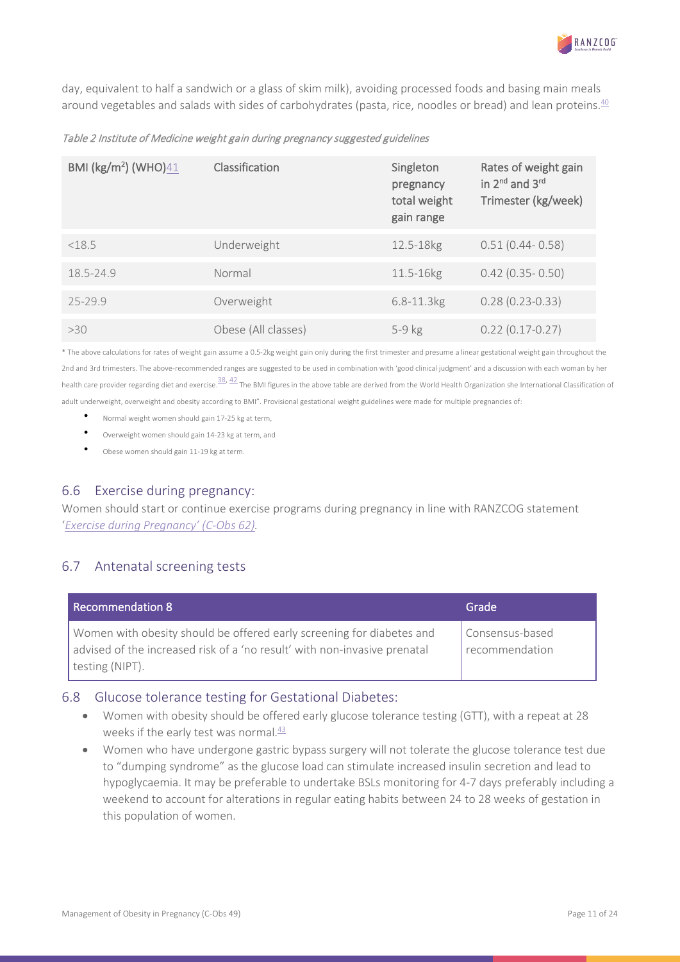

day, equivalent to half a sandwich or a glass of skim milk), avoiding processed foods and basing main meals around vegetables and salads with sides of carbohydrates (pasta, rice, noodles or bread) and lean proteins.<sup>40</sup>

| Table 2 Institute of Medicine weight gain during pregnancy suggested guidelines |  |  |  |
|---------------------------------------------------------------------------------|--|--|--|
|---------------------------------------------------------------------------------|--|--|--|

| BMI (kg/m <sup>2</sup> ) (WHO) $41$ | Classification      | Singleton<br>pregnancy<br>total weight<br>gain range | Rates of weight gain<br>in 2 <sup>nd</sup> and 3 <sup>rd</sup><br>Trimester (kg/week) |
|-------------------------------------|---------------------|------------------------------------------------------|---------------------------------------------------------------------------------------|
| < 18.5                              | Underweight         | 12.5-18kg                                            | $0.51(0.44 - 0.58)$                                                                   |
| 18.5-24.9                           | Normal              | 11.5-16kg                                            | $0.42$ (0.35 - 0.50)                                                                  |
| 25-29.9                             | Overweight          | 6.8-11.3kg                                           | $0.28(0.23 - 0.33)$                                                                   |
| >30                                 | Obese (All classes) | 5-9 kg                                               | $0.22(0.17 - 0.27)$                                                                   |

\* The above calculations for rates of weight gain assume a 0.5-2kg weight gain only during the first trimester and presume a linear gestational weight gain throughout the 2nd and 3rd trimesters. The above-recommended ranges are suggested to be used in combination with 'good clinical judgment' and a discussion with each woman by her health care provider regarding diet and exercise.  $\frac{38}{2}$  The BMI figures in the above table are derived from the World Health Organization she International Classification of [adult underweight, overweight and obesity according to BMI"](http://apps.who.int/bmi/index.jsp?introPage=intro_3.html). Provisional gestational weight guidelines were made for multiple pregnancies of:

- Normal weight women should gain 17-25 kg at term,
- Overweight women should gain 14-23 kg at term, and
- Obese women should gain 11-19 kg at term.

#### 6.6 Exercise during pregnancy:

Women should start or continue exercise programs during pregnancy in line with RANZCOG statement '*Exercise during [Pregnancy' \(C-Obs 62\).](https://ranzcog.edu.au/RANZCOG_SITE/media/RANZCOG-MEDIA/Women%27s%20Health/Statement%20and%20guidelines/Clinical-Obstetrics/Exercise-during-pregnancy-(C-Obs-62).pdf?ext=.pdf)* 

#### 6.7 Antenatal screening tests

| <b>Recommendation 8</b>                                                                                                                                               | Grade                             |
|-----------------------------------------------------------------------------------------------------------------------------------------------------------------------|-----------------------------------|
| Women with obesity should be offered early screening for diabetes and<br>advised of the increased risk of a 'no result' with non-invasive prenatal<br>testing (NIPT). | Consensus-based<br>recommendation |

#### 6.8 Glucose tolerance testing for Gestational Diabetes:

- Women with obesity should be offered early glucose tolerance testing (GTT), with a repeat at 28 weeks if the early test was normal. 43
- Women who have undergone gastric bypass surgery will not tolerate the glucose tolerance test due to "dumping syndrome" as the glucose load can stimulate increased insulin secretion and lead to hypoglycaemia. It may be preferable to undertake BSLs monitoring for 4-7 days preferably including a weekend to account for alterations in regular eating habits between 24 to 28 weeks of gestation in this population of women.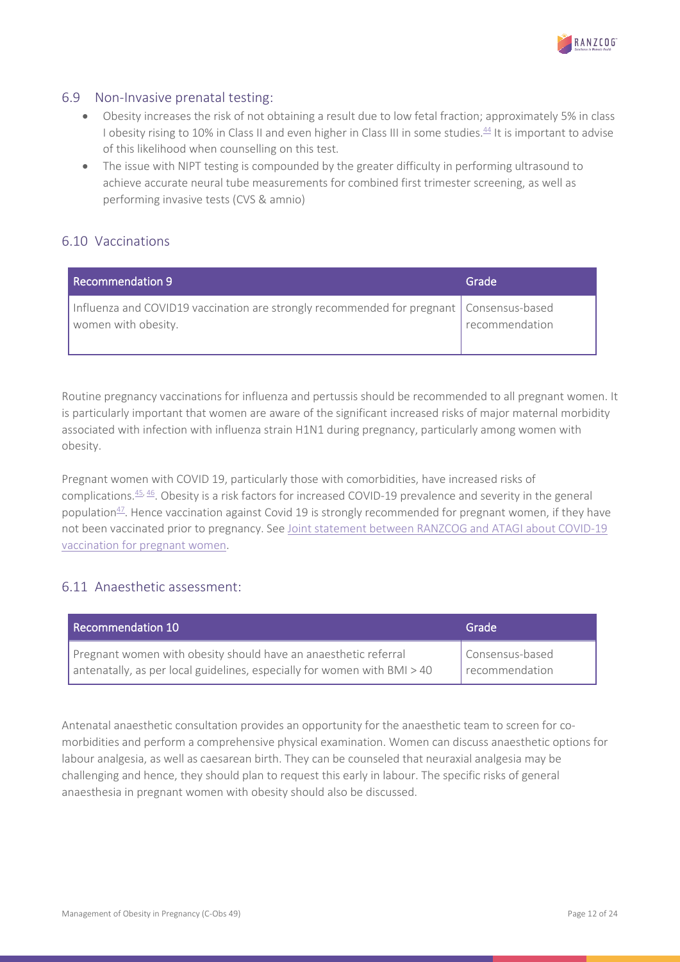

#### 6.9 Non-Invasive prenatal testing:

- Obesity increases the risk of not obtaining a result due to low fetal fraction; approximately 5% in class I obesity rising to 10% in Class II and even higher in Class III in some studies.<sup>44</sup> It is important to advise of this likelihood when counselling on this test.
- The issue with NIPT testing is compounded by the greater difficulty in performing ultrasound to achieve accurate neural tube measurements for combined first trimester screening, as well as performing invasive tests (CVS & amnio)

#### 6.10 Vaccinations

| Recommendation 9                                                                                                 | Grade            |
|------------------------------------------------------------------------------------------------------------------|------------------|
| Influenza and COVID19 vaccination are strongly recommended for pregnant   Consensus-based<br>women with obesity. | I recommendation |

Routine pregnancy vaccinations for influenza and pertussis should be recommended to all pregnant women. It is particularly important that women are aware of the significant increased risks of major maternal morbidity associated with infection with influenza strain H1N1 during pregnancy, particularly among women with obesity.

Pregnant women with COVID 19, particularly those with comorbidities, have increased risks of complications[.45,](#page-18-4) [46.](#page-18-5) Obesity is a risk factors for increased COVID-19 prevalence and severity in the general population $47$ . Hence vaccination against Covid 19 is strongly recommended for pregnant women, if they have not been vaccinated prior to pregnancy. See [Joint statement between RANZCOG and ATAGI about COVID-19](https://www.health.gov.au/news/joint-statement-between-ranzcog-and-atagi-about-covid-19-vaccination-for-pregnant-women)  [vaccination for pregnant women.](https://www.health.gov.au/news/joint-statement-between-ranzcog-and-atagi-about-covid-19-vaccination-for-pregnant-women)

#### 6.11 Anaesthetic assessment:

| Recommendation 10                                                        | Grade           |
|--------------------------------------------------------------------------|-----------------|
| Pregnant women with obesity should have an anaesthetic referral          | Consensus-based |
| antenatally, as per local guidelines, especially for women with BMI > 40 | recommendation  |

Antenatal anaesthetic consultation provides an opportunity for the anaesthetic team to screen for comorbidities and perform a comprehensive physical examination. Women can discuss anaesthetic options for labour analgesia, as well as caesarean birth. They can be counseled that neuraxial analgesia may be challenging and hence, they should plan to request this early in labour. The specific risks of general anaesthesia in pregnant women with obesity should also be discussed.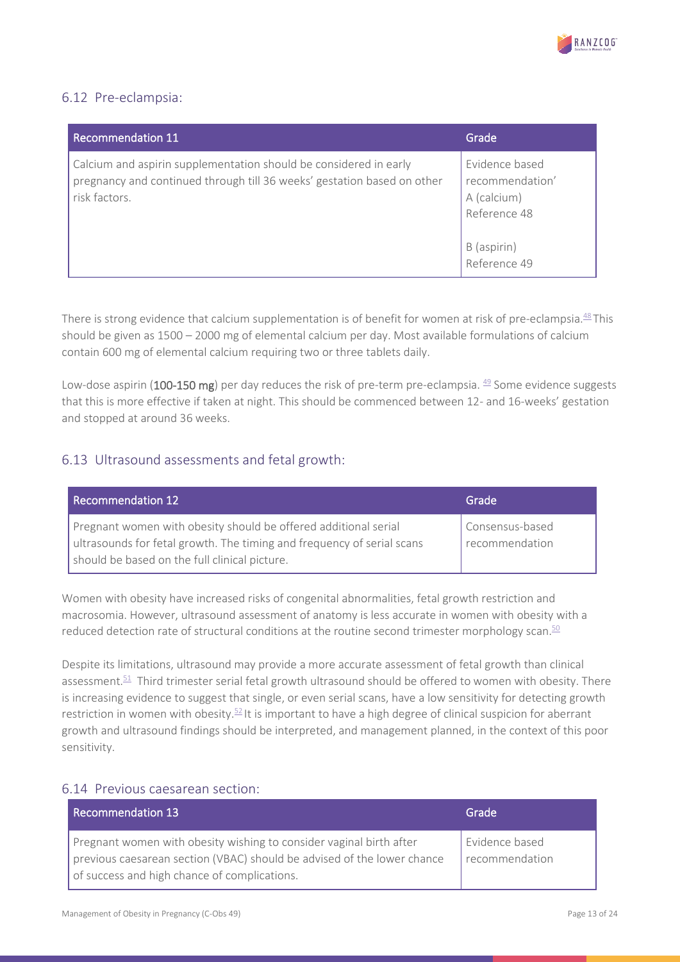

#### 6.12 Pre-eclampsia:

| <b>Recommendation 11</b>                                                                                                                                      | Grade                                                            |
|---------------------------------------------------------------------------------------------------------------------------------------------------------------|------------------------------------------------------------------|
| Calcium and aspirin supplementation should be considered in early<br>pregnancy and continued through till 36 weeks' gestation based on other<br>risk factors. | Evidence based<br>recommendation'<br>A (calcium)<br>Reference 48 |
|                                                                                                                                                               | B (aspirin)<br>Reference 49                                      |

There is strong evidence that calcium supplementation is of benefit for women at risk of pre-eclampsia.<sup>48</sup> This should be given as 1500 – 2000 mg of elemental calcium per day. Most available formulations of calcium contain 600 mg of elemental calcium requiring two or three tablets daily.

Low-dose aspirin (100-150 mg) per day reduces the risk of pre-term pre-eclampsia.  $49$  Some evidence suggests that this is more effective if taken at night. This should be commenced between 12- and 16-weeks' gestation and stopped at around 36 weeks.

#### 6.13 Ultrasound assessments and fetal growth:

| <b>Recommendation 12</b>                                                                                                                                                                   | Grade                             |
|--------------------------------------------------------------------------------------------------------------------------------------------------------------------------------------------|-----------------------------------|
| Pregnant women with obesity should be offered additional serial<br>ultrasounds for fetal growth. The timing and frequency of serial scans<br>should be based on the full clinical picture. | Consensus-based<br>recommendation |

Women with obesity have increased risks of congenital abnormalities, fetal growth restriction and macrosomia. However, ultrasound assessment of anatomy is less accurate in women with obesity with a reduced detection rate of structural conditions at the routine second trimester morphology scan. $50$ 

Despite its limitations, ultrasound may provide a more accurate assessment of fetal growth than clinical assessment.<sup>51</sup> Third trimester serial fetal growth ultrasound should be offered to women with obesity. There is increasing evidence to suggest that single, or even serial scans, have a low sensitivity for detecting growth restriction in women with obesity.<sup>[52](#page-18-11)</sup> It is important to have a high degree of clinical suspicion for aberrant growth and ultrasound findings should be interpreted, and management planned, in the context of this poor sensitivity.

#### 6.14 Previous caesarean section:

| Recommendation 13                                                       | Grade          |
|-------------------------------------------------------------------------|----------------|
| Pregnant women with obesity wishing to consider vaginal birth after     | Evidence based |
| previous caesarean section (VBAC) should be advised of the lower chance | recommendation |
| of success and high chance of complications.                            |                |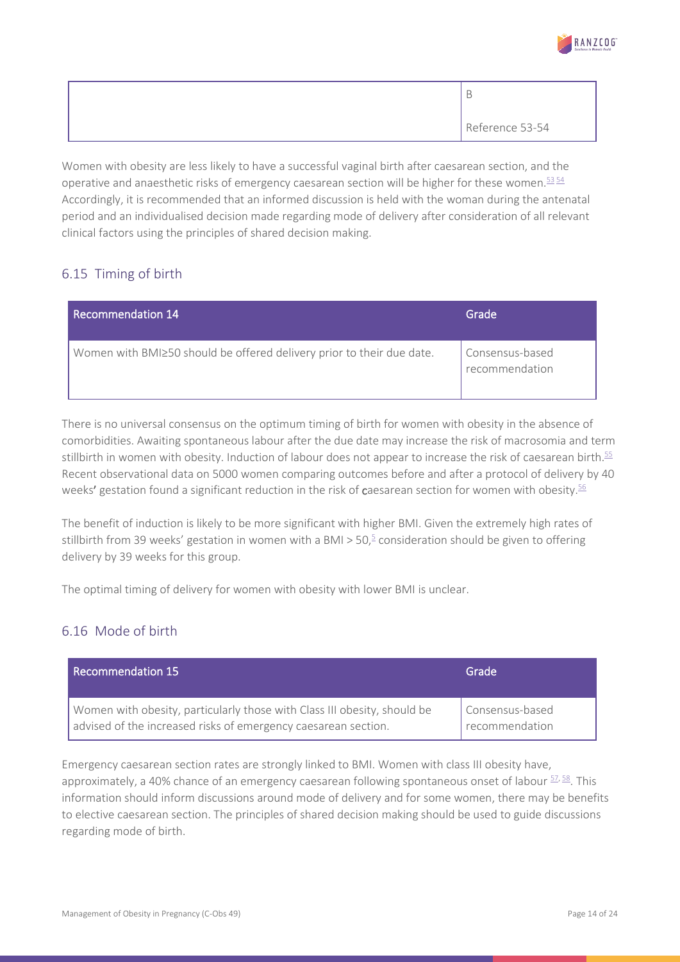

| Reference 53-54 |
|-----------------|

Women with obesity are less likely to have a successful vaginal birth after caesarean section, and the operative and anaesthetic risks of emergency caesarean section will be higher for these women.  $53\,54$  $53\,54$ Accordingly, it is recommended that an informed discussion is held with the woman during the antenatal period and an individualised decision made regarding mode of delivery after consideration of all relevant clinical factors using the principles of shared decision making.

### 6.15 Timing of birth

| <b>Recommendation 14</b>                                              | Grade                             |
|-----------------------------------------------------------------------|-----------------------------------|
| Vomen with BMI≥50 should be offered delivery prior to their due date. | Consensus-based<br>recommendation |

There is no universal consensus on the optimum timing of birth for women with obesity in the absence of comorbidities. Awaiting spontaneous labour after the due date may increase the risk of macrosomia and term stillbirth in women with obesity. Induction of labour does not appear to increase the risk of caesarean birth.<sup>55</sup> Recent observational data on 5000 women comparing outcomes before and after a protocol of delivery by 40 weeks' gestation found a significant reduction in the risk of caesarean section for women with obesity.<sup>[56](#page-18-15)</sup>

The benefit of induction is likely to be more significant with higher BMI. Given the extremely high rates of stillbirth from 39 weeks' gestation in women with a BMI >  $50<sub>5</sub>$  consideration should be given to offering delivery by 39 weeks for this group.

The optimal timing of delivery for women with obesity with lower BMI is unclear.

#### 6.16 Mode of birth

| <b>Recommendation 15</b>                                                 | Grade           |
|--------------------------------------------------------------------------|-----------------|
| Women with obesity, particularly those with Class III obesity, should be | Consensus-based |
| advised of the increased risks of emergency caesarean section.           | recommendation  |

Emergency caesarean section rates are strongly linked to BMI. Women with class III obesity have, approximately, a 40% chance of an emergency caesarean following spontaneous onset of labour  $57, 58$  $57, 58$ . This information should inform discussions around mode of delivery and for some women, there may be benefits to elective caesarean section. The principles of shared decision making should be used to guide discussions regarding mode of birth.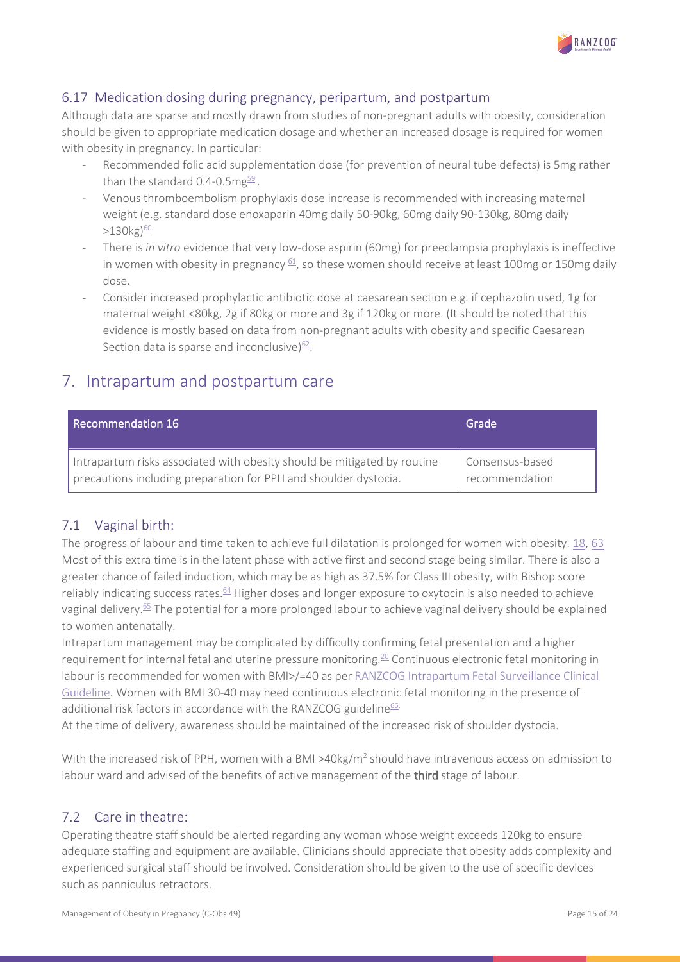

#### 6.17 Medication dosing during pregnancy, peripartum, and postpartum

Although data are sparse and mostly drawn from studies of non-pregnant adults with obesity, consideration should be given to appropriate medication dosage and whether an increased dosage is required for women with obesity in pregnancy. In particular:

- Recommended folic acid supplementation dose (for prevention of neural tube defects) is 5mg rather than the standard 0.4-0.5mg $^{59}$ .
- Venous thromboembolism prophylaxis dose increase is recommended with increasing maternal weight (e.g. standard dose enoxaparin 40mg daily 50-90kg, 60mg daily 90-130kg, 80mg daily  $>130$ kg)<sup>60.</sup>
- There is *in vitro* evidence that very low-dose aspirin (60mg) for preeclampsia prophylaxis is ineffective in women with obesity in pregnancy  $61$ , so these women should receive at least 100mg or 150mg daily dose.
- Consider increased prophylactic antibiotic dose at caesarean section e.g. if cephazolin used, 1g for maternal weight <80kg, 2g if 80kg or more and 3g if 120kg or more. (It should be noted that this evidence is mostly based on data from non-pregnant adults with obesity and specific Caesarean Section data is sparse and inconclusive) $62$ .

## 7. Intrapartum and postpartum care

| <b>Recommendation 16</b>                                                 | Grade           |
|--------------------------------------------------------------------------|-----------------|
| Intrapartum risks associated with obesity should be mitigated by routine | Consensus-based |
| precautions including preparation for PPH and shoulder dystocia.         | recommendation  |

#### 7.1 Vaginal birth:

The progress of labour and time taken to achieve full dilatation is prolonged for women with obesity[. 18,](#page-16-17) [63](#page-19-0) Most of this extra time is in the latent phase with active first and second stage being similar. There is also a greater chance of failed induction, which may be as high as 37.5% for Class III obesity, with Bishop score reliably indicating success rates.<sup>64</sup> Higher doses and longer exposure to oxytocin is also needed to achieve vaginal delivery[.65](#page-19-2) The potential for a more prolonged labour to achieve vaginal delivery should be explained to women antenatally.

Intrapartum management may be complicated by difficulty confirming fetal presentation and a higher requirement for internal fetal and uterine pressure monitoring.<sup>20</sup> Continuous electronic fetal monitoring in labour is recommended for women with BMI>/=40 as pe[r RANZCOG Intrapartum Fetal Surveillance Clinical](https://fsep.ranzcog.edu.au/FSEP/media/FSEP/IFS%20Clinical%20Guideline/FINAL-RANZCOG-IFS-Clinical-Guideline-2019.pdf)  [Guideline.](https://fsep.ranzcog.edu.au/FSEP/media/FSEP/IFS%20Clinical%20Guideline/FINAL-RANZCOG-IFS-Clinical-Guideline-2019.pdf) Women with BMI 30-40 may need continuous electronic fetal monitoring in the presence of additional risk factors in accordance with the RANZCOG guideline $66$ .

At the time of delivery, awareness should be maintained of the increased risk of shoulder dystocia.

With the increased risk of PPH, women with a BMI >40kg/m<sup>2</sup> should have intravenous access on admission to labour ward and advised of the benefits of active management of the third stage of labour.

#### 7.2 Care in theatre:

Operating theatre staff should be alerted regarding any woman whose weight exceeds 120kg to ensure adequate staffing and equipment are available. Clinicians should appreciate that obesity adds complexity and experienced surgical staff should be involved. Consideration should be given to the use of specific devices such as panniculus retractors.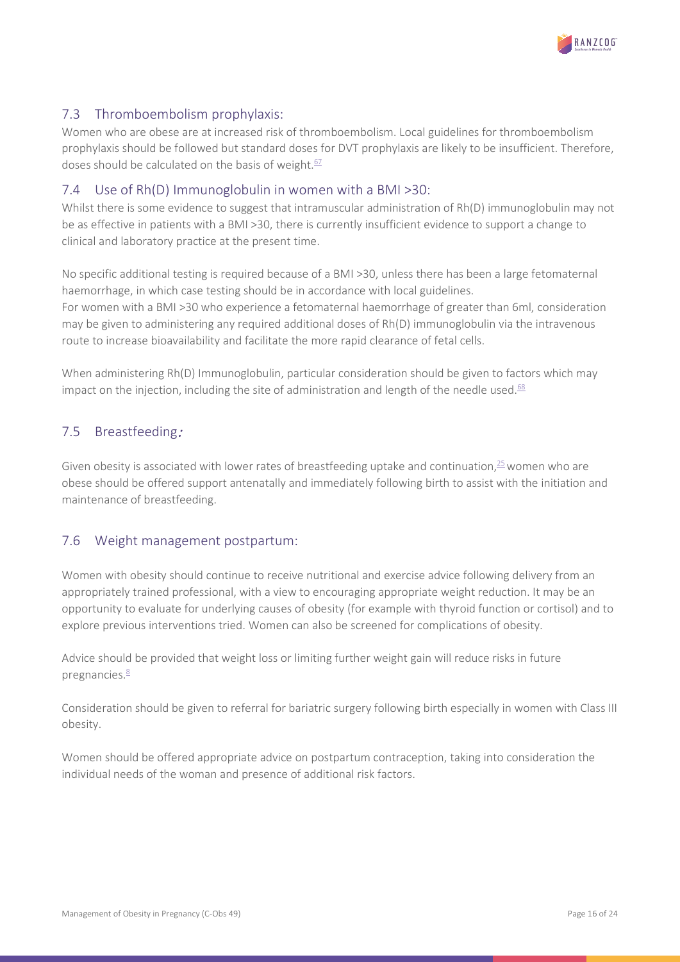

### 7.3 Thromboembolism prophylaxis:

Women who are obese are at increased risk of thromboembolism. Local guidelines for thromboembolism prophylaxis should be followed but standard doses for DVT prophylaxis are likely to be insufficient. Therefore, doses should be calculated on the basis of weight. $67$ 

#### 7.4 Use of Rh(D) Immunoglobulin in women with a BMI >30:

Whilst there is some evidence to suggest that intramuscular administration of Rh(D) immunoglobulin may not be as effective in patients with a BMI >30, there is currently insufficient evidence to support a change to clinical and laboratory practice at the present time.

No specific additional testing is required because of a BMI >30, unless there has been a large fetomaternal haemorrhage, in which case testing should be in accordance with local guidelines. For women with a BMI >30 who experience a fetomaternal haemorrhage of greater than 6ml, consideration

may be given to administering any required additional doses of Rh(D) immunoglobulin via the intravenous route to increase bioavailability and facilitate the more rapid clearance of fetal cells.

When administering Rh(D) Immunoglobulin, particular consideration should be given to factors which may impact on the injection, including the site of administration and length of the needle used. $68$ 

### 7.5 Breastfeeding:

Given obesity is associated with lower rates of breastfeeding uptake and continuation, $25$  women who are obese should be offered support antenatally and immediately following birth to assist with the initiation and maintenance of breastfeeding.

#### 7.6 Weight management postpartum:

Women with obesity should continue to receive nutritional and exercise advice following delivery from an appropriately trained professional, with a view to encouraging appropriate weight reduction. It may be an opportunity to evaluate for underlying causes of obesity (for example with thyroid function or cortisol) and to explore previous interventions tried. Women can also be screened for complications of obesity.

Advice should be provided that weight loss or limiting further weight gain will reduce risks in future pregnancies. $8$ 

Consideration should be given to referral for bariatric surgery following birth especially in women with Class III obesity.

Women should be offered appropriate advice on postpartum contraception, taking into consideration the individual needs of the woman and presence of additional risk factors.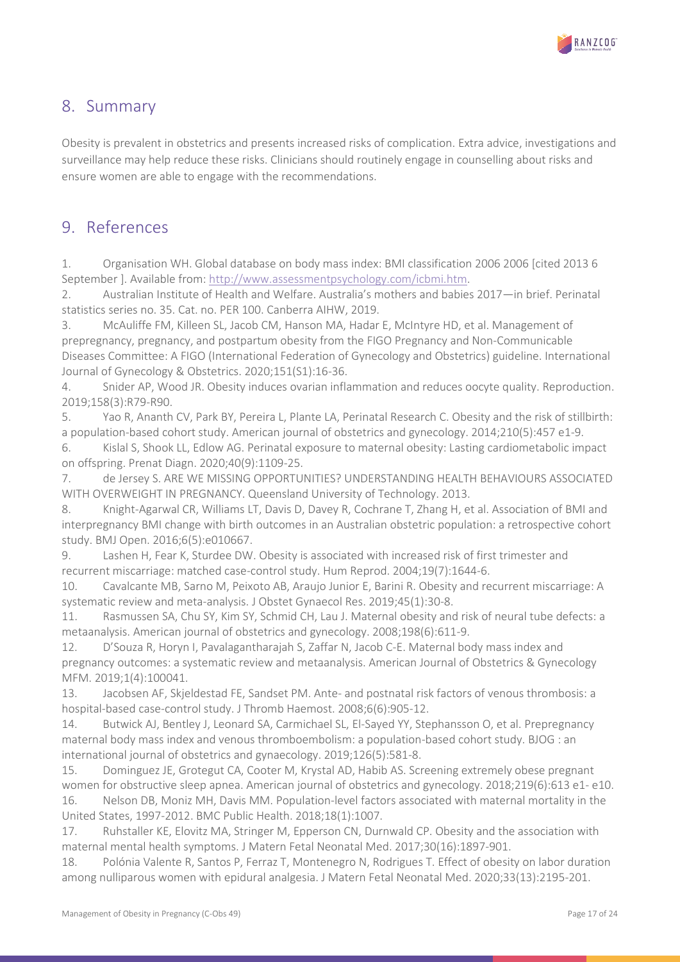

## 8. Summary

Obesity is prevalent in obstetrics and presents increased risks of complication. Extra advice, investigations and surveillance may help reduce these risks. Clinicians should routinely engage in counselling about risks and ensure women are able to engage with the recommendations.

## 9. References

<span id="page-16-0"></span>1. Organisation WH. Global database on body mass index: BMI classification 2006 2006 [cited 2013 6 September ]. Available from: [http://www.assessmentpsychology.com/icbmi.htm.](http://www.assessmentpsychology.com/icbmi.htm)

<span id="page-16-1"></span>2. Australian Institute of Health and Welfare. Australia's mothers and babies 2017—in brief. Perinatal statistics series no. 35. Cat. no. PER 100. Canberra AIHW, 2019.

<span id="page-16-2"></span>3. McAuliffe FM, Killeen SL, Jacob CM, Hanson MA, Hadar E, McIntyre HD, et al. Management of prepregnancy, pregnancy, and postpartum obesity from the FIGO Pregnancy and Non-Communicable Diseases Committee: A FIGO (International Federation of Gynecology and Obstetrics) guideline. International Journal of Gynecology & Obstetrics. 2020;151(S1):16-36.

<span id="page-16-3"></span>4. Snider AP, Wood JR. Obesity induces ovarian inflammation and reduces oocyte quality. Reproduction. 2019;158(3):R79-R90.

<span id="page-16-4"></span>5. Yao R, Ananth CV, Park BY, Pereira L, Plante LA, Perinatal Research C. Obesity and the risk of stillbirth: a population-based cohort study. American journal of obstetrics and gynecology. 2014;210(5):457 e1-9.

<span id="page-16-5"></span>6. Kislal S, Shook LL, Edlow AG. Perinatal exposure to maternal obesity: Lasting cardiometabolic impact on offspring. Prenat Diagn. 2020;40(9):1109-25.

<span id="page-16-6"></span>7. de Jersey S. ARE WE MISSING OPPORTUNITIES? UNDERSTANDING HEALTH BEHAVIOURS ASSOCIATED WITH OVERWEIGHT IN PREGNANCY. Queensland University of Technology. 2013.

<span id="page-16-7"></span>8. Knight-Agarwal CR, Williams LT, Davis D, Davey R, Cochrane T, Zhang H, et al. Association of BMI and interpregnancy BMI change with birth outcomes in an Australian obstetric population: a retrospective cohort study. BMJ Open. 2016;6(5):e010667.

<span id="page-16-8"></span>9. Lashen H, Fear K, Sturdee DW. Obesity is associated with increased risk of first trimester and recurrent miscarriage: matched case-control study. Hum Reprod. 2004;19(7):1644-6.

<span id="page-16-9"></span>10. Cavalcante MB, Sarno M, Peixoto AB, Araujo Junior E, Barini R. Obesity and recurrent miscarriage: A systematic review and meta-analysis. J Obstet Gynaecol Res. 2019;45(1):30-8.

<span id="page-16-10"></span>11. Rasmussen SA, Chu SY, Kim SY, Schmid CH, Lau J. Maternal obesity and risk of neural tube defects: a metaanalysis. American journal of obstetrics and gynecology. 2008;198(6):611-9.

<span id="page-16-11"></span>12. D'Souza R, Horyn I, Pavalagantharajah S, Zaffar N, Jacob C-E. Maternal body mass index and pregnancy outcomes: a systematic review and metaanalysis. American Journal of Obstetrics & Gynecology MFM. 2019;1(4):100041.

<span id="page-16-12"></span>13. Jacobsen AF, Skjeldestad FE, Sandset PM. Ante- and postnatal risk factors of venous thrombosis: a hospital-based case-control study. J Thromb Haemost. 2008;6(6):905-12.

<span id="page-16-13"></span>14. Butwick AJ, Bentley J, Leonard SA, Carmichael SL, El-Sayed YY, Stephansson O, et al. Prepregnancy maternal body mass index and venous thromboembolism: a population-based cohort study. BJOG : an international journal of obstetrics and gynaecology. 2019;126(5):581-8.

<span id="page-16-15"></span><span id="page-16-14"></span>15. Dominguez JE, Grotegut CA, Cooter M, Krystal AD, Habib AS. Screening extremely obese pregnant women for obstructive sleep apnea. American journal of obstetrics and gynecology. 2018;219(6):613 e1- e10. 16. Nelson DB, Moniz MH, Davis MM. Population-level factors associated with maternal mortality in the United States, 1997-2012. BMC Public Health. 2018;18(1):1007.

<span id="page-16-16"></span>17. Ruhstaller KE, Elovitz MA, Stringer M, Epperson CN, Durnwald CP. Obesity and the association with maternal mental health symptoms. J Matern Fetal Neonatal Med. 2017;30(16):1897-901.

<span id="page-16-17"></span>18. Polónia Valente R, Santos P, Ferraz T, Montenegro N, Rodrigues T. Effect of obesity on labor duration among nulliparous women with epidural analgesia. J Matern Fetal Neonatal Med. 2020;33(13):2195-201.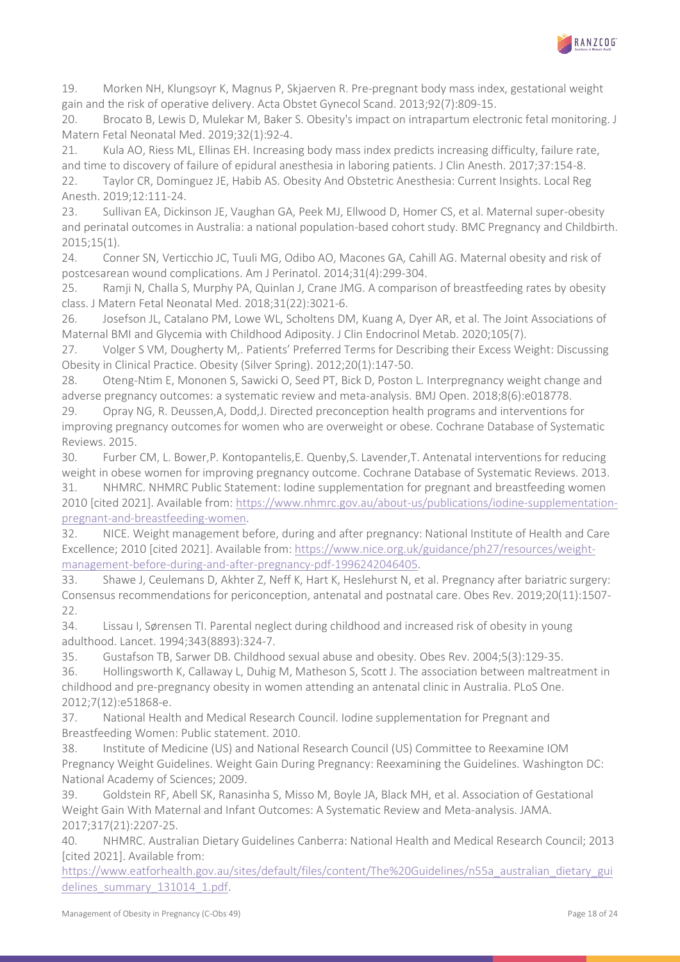

<span id="page-17-0"></span>19. Morken NH, Klungsoyr K, Magnus P, Skjaerven R. Pre-pregnant body mass index, gestational weight gain and the risk of operative delivery. Acta Obstet Gynecol Scand. 2013;92(7):809-15.

<span id="page-17-1"></span>20. Brocato B, Lewis D, Mulekar M, Baker S. Obesity's impact on intrapartum electronic fetal monitoring. J Matern Fetal Neonatal Med. 2019;32(1):92-4.

<span id="page-17-2"></span>21. Kula AO, Riess ML, Ellinas EH. Increasing body mass index predicts increasing difficulty, failure rate, and time to discovery of failure of epidural anesthesia in laboring patients. J Clin Anesth. 2017;37:154-8.

<span id="page-17-3"></span>22. Taylor CR, Dominguez JE, Habib AS. Obesity And Obstetric Anesthesia: Current Insights. Local Reg Anesth. 2019;12:111-24.

<span id="page-17-4"></span>23. Sullivan EA, Dickinson JE, Vaughan GA, Peek MJ, Ellwood D, Homer CS, et al. Maternal super-obesity and perinatal outcomes in Australia: a national population-based cohort study. BMC Pregnancy and Childbirth. 2015;15(1).

<span id="page-17-5"></span>24. Conner SN, Verticchio JC, Tuuli MG, Odibo AO, Macones GA, Cahill AG. Maternal obesity and risk of postcesarean wound complications. Am J Perinatol. 2014;31(4):299-304.

<span id="page-17-6"></span>25. Ramji N, Challa S, Murphy PA, Quinlan J, Crane JMG. A comparison of breastfeeding rates by obesity class. J Matern Fetal Neonatal Med. 2018;31(22):3021-6.

<span id="page-17-7"></span>26. Josefson JL, Catalano PM, Lowe WL, Scholtens DM, Kuang A, Dyer AR, et al. The Joint Associations of Maternal BMI and Glycemia with Childhood Adiposity. J Clin Endocrinol Metab. 2020;105(7).

<span id="page-17-8"></span>27. Volger S VM, Dougherty M,. Patients' Preferred Terms for Describing their Excess Weight: Discussing Obesity in Clinical Practice. Obesity (Silver Spring). 2012;20(1):147-50.

<span id="page-17-9"></span>28. Oteng-Ntim E, Mononen S, Sawicki O, Seed PT, Bick D, Poston L. Interpregnancy weight change and adverse pregnancy outcomes: a systematic review and meta-analysis. BMJ Open. 2018;8(6):e018778.

<span id="page-17-10"></span>29. Opray NG, R. Deussen,A, Dodd,J. Directed preconception health programs and interventions for improving pregnancy outcomes for women who are overweight or obese. Cochrane Database of Systematic Reviews. 2015.

<span id="page-17-11"></span>30. Furber CM, L. Bower,P. Kontopantelis,E. Quenby,S. Lavender,T. Antenatal interventions for reducing weight in obese women for improving pregnancy outcome. Cochrane Database of Systematic Reviews. 2013.

<span id="page-17-12"></span>31. NHMRC. NHMRC Public Statement: Iodine supplementation for pregnant and breastfeeding women 2010 [cited 2021]. Available from[: https://www.nhmrc.gov.au/about-us/publications/iodine-supplementation](https://www.nhmrc.gov.au/about-us/publications/iodine-supplementation-pregnant-and-breastfeeding-women)[pregnant-and-breastfeeding-women.](https://www.nhmrc.gov.au/about-us/publications/iodine-supplementation-pregnant-and-breastfeeding-women)

<span id="page-17-13"></span>32. NICE. Weight management before, during and after pregnancy: National Institute of Health and Care Excellence; 2010 [cited 2021]. Available from: [https://www.nice.org.uk/guidance/ph27/resources/weight](https://www.nice.org.uk/guidance/ph27/resources/weight-management-before-during-and-after-pregnancy-pdf-1996242046405)[management-before-during-and-after-pregnancy-pdf-1996242046405.](https://www.nice.org.uk/guidance/ph27/resources/weight-management-before-during-and-after-pregnancy-pdf-1996242046405)

<span id="page-17-14"></span>33. Shawe J, Ceulemans D, Akhter Z, Neff K, Hart K, Heslehurst N, et al. Pregnancy after bariatric surgery: Consensus recommendations for periconception, antenatal and postnatal care. Obes Rev. 2019;20(11):1507- 22.

<span id="page-17-15"></span>34. Lissau I, Sørensen TI. Parental neglect during childhood and increased risk of obesity in young adulthood. Lancet. 1994;343(8893):324-7.

<span id="page-17-16"></span>35. Gustafson TB, Sarwer DB. Childhood sexual abuse and obesity. Obes Rev. 2004;5(3):129-35.

<span id="page-17-17"></span>36. Hollingsworth K, Callaway L, Duhig M, Matheson S, Scott J. The association between maltreatment in childhood and pre-pregnancy obesity in women attending an antenatal clinic in Australia. PLoS One. 2012;7(12):e51868-e.

<span id="page-17-18"></span>37. National Health and Medical Research Council. Iodine supplementation for Pregnant and Breastfeeding Women: Public statement. 2010.

<span id="page-17-19"></span>38. Institute of Medicine (US) and National Research Council (US) Committee to Reexamine IOM Pregnancy Weight Guidelines. Weight Gain During Pregnancy: Reexamining the Guidelines. Washington DC: National Academy of Sciences; 2009.

<span id="page-17-20"></span>39. Goldstein RF, Abell SK, Ranasinha S, Misso M, Boyle JA, Black MH, et al. Association of Gestational Weight Gain With Maternal and Infant Outcomes: A Systematic Review and Meta-analysis. JAMA. 2017;317(21):2207-25.

<span id="page-17-21"></span>40. NHMRC. Australian Dietary Guidelines Canberra: National Health and Medical Research Council; 2013 [cited 2021]. Available from:

[https://www.eatforhealth.gov.au/sites/default/files/content/The%20Guidelines/n55a\\_australian\\_dietary\\_gui](https://www.eatforhealth.gov.au/sites/default/files/content/The%20Guidelines/n55a_australian_dietary_guidelines_summary_131014_1.pdf) [delines\\_summary\\_131014\\_1.pdf.](https://www.eatforhealth.gov.au/sites/default/files/content/The%20Guidelines/n55a_australian_dietary_guidelines_summary_131014_1.pdf)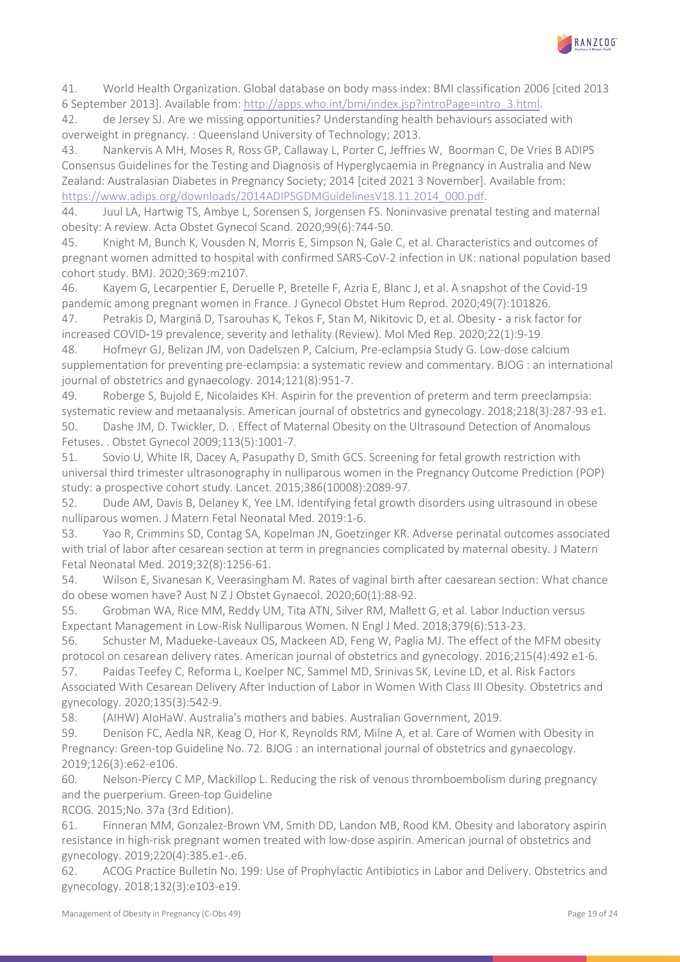

<span id="page-18-0"></span>41. World Health Organization. Global database on body mass index: BMI classification 2006 [cited 2013 6 September 2013]. Available from[: http://apps.who.int/bmi/index.jsp?introPage=intro\\_3.html.](http://apps.who.int/bmi/index.jsp?introPage=intro_3.html)

<span id="page-18-1"></span>42. de Jersey SJ. Are we missing opportunities? Understanding health behaviours associated with overweight in pregnancy. : Queensland University of Technology; 2013.

<span id="page-18-2"></span>43. Nankervis A MH, Moses R, Ross GP, Callaway L, Porter C, Jeffries W, Boorman C, De Vries B ADIPS Consensus Guidelines for the Testing and Diagnosis of Hyperglycaemia in Pregnancy in Australia and New Zealand: Australasian Diabetes in Pregnancy Society; 2014 [cited 2021 3 November]. Available from: [https://www.adips.org/downloads/2014ADIPSGDMGuidelinesV18.11.2014\\_000.pdf.](https://www.adips.org/downloads/2014ADIPSGDMGuidelinesV18.11.2014_000.pdf)

<span id="page-18-3"></span>44. Juul LA, Hartwig TS, Ambye L, Sorensen S, Jorgensen FS. Noninvasive prenatal testing and maternal obesity: A review. Acta Obstet Gynecol Scand. 2020;99(6):744-50.

<span id="page-18-4"></span>45. Knight M, Bunch K, Vousden N, Morris E, Simpson N, Gale C, et al. Characteristics and outcomes of pregnant women admitted to hospital with confirmed SARS-CoV-2 infection in UK: national population based cohort study. BMJ. 2020;369:m2107.

<span id="page-18-5"></span>46. Kayem G, Lecarpentier E, Deruelle P, Bretelle F, Azria E, Blanc J, et al. A snapshot of the Covid-19 pandemic among pregnant women in France. J Gynecol Obstet Hum Reprod. 2020;49(7):101826.

<span id="page-18-6"></span>47. Petrakis D, Margină D, Tsarouhas K, Tekos F, Stan M, Nikitovic D, et al. Obesity - a risk factor for increased COVID-19 prevalence, severity and lethality (Review). Mol Med Rep. 2020;22(1):9-19.

<span id="page-18-7"></span>48. Hofmeyr GJ, Belizan JM, von Dadelszen P, Calcium, Pre-eclampsia Study G. Low-dose calcium supplementation for preventing pre-eclampsia: a systematic review and commentary. BJOG : an international journal of obstetrics and gynaecology. 2014;121(8):951-7.

<span id="page-18-8"></span>49. Roberge S, Bujold E, Nicolaides KH. Aspirin for the prevention of preterm and term preeclampsia: systematic review and metaanalysis. American journal of obstetrics and gynecology. 2018;218(3):287-93 e1. 50. Dashe JM, D. Twickler, D. . Effect of Maternal Obesity on the Ultrasound Detection of Anomalous

<span id="page-18-9"></span>Fetuses. . Obstet Gynecol 2009;113(5):1001-7.

<span id="page-18-10"></span>51. Sovio U, White IR, Dacey A, Pasupathy D, Smith GCS. Screening for fetal growth restriction with universal third trimester ultrasonography in nulliparous women in the Pregnancy Outcome Prediction (POP) study: a prospective cohort study. Lancet. 2015;386(10008):2089-97.

<span id="page-18-11"></span>52. Dude AM, Davis B, Delaney K, Yee LM. Identifying fetal growth disorders using ultrasound in obese nulliparous women. J Matern Fetal Neonatal Med. 2019:1-6.

<span id="page-18-12"></span>53. Yao R, Crimmins SD, Contag SA, Kopelman JN, Goetzinger KR. Adverse perinatal outcomes associated with trial of labor after cesarean section at term in pregnancies complicated by maternal obesity. J Matern Fetal Neonatal Med. 2019;32(8):1256-61.

<span id="page-18-13"></span>54. Wilson E, Sivanesan K, Veerasingham M. Rates of vaginal birth after caesarean section: What chance do obese women have? Aust N Z J Obstet Gynaecol. 2020;60(1):88-92.

<span id="page-18-14"></span>55. Grobman WA, Rice MM, Reddy UM, Tita ATN, Silver RM, Mallett G, et al. Labor Induction versus Expectant Management in Low-Risk Nulliparous Women. N Engl J Med. 2018;379(6):513-23.

<span id="page-18-15"></span>56. Schuster M, Madueke-Laveaux OS, Mackeen AD, Feng W, Paglia MJ. The effect of the MFM obesity protocol on cesarean delivery rates. American journal of obstetrics and gynecology. 2016;215(4):492 e1-6.

<span id="page-18-16"></span>57. Paidas Teefey C, Reforma L, Koelper NC, Sammel MD, Srinivas SK, Levine LD, et al. Risk Factors Associated With Cesarean Delivery After Induction of Labor in Women With Class III Obesity. Obstetrics and gynecology. 2020;135(3):542-9.

<span id="page-18-17"></span>58. (AIHW) AIoHaW. Australia's mothers and babies. Australian Government, 2019.

<span id="page-18-18"></span>59. Denison FC, Aedla NR, Keag O, Hor K, Reynolds RM, Milne A, et al. Care of Women with Obesity in Pregnancy: Green-top Guideline No. 72. BJOG : an international journal of obstetrics and gynaecology. 2019;126(3):e62-e106.

<span id="page-18-19"></span>60. Nelson-Piercy C MP, Mackillop L. Reducing the risk of venous thromboembolism during pregnancy and the puerperium. Green-top Guideline

RCOG. 2015;No. 37a (3rd Edition).

<span id="page-18-20"></span>61. Finneran MM, Gonzalez-Brown VM, Smith DD, Landon MB, Rood KM. Obesity and laboratory aspirin resistance in high-risk pregnant women treated with low-dose aspirin. American journal of obstetrics and gynecology. 2019;220(4):385.e1-.e6.

<span id="page-18-21"></span>62. ACOG Practice Bulletin No. 199: Use of Prophylactic Antibiotics in Labor and Delivery. Obstetrics and gynecology. 2018;132(3):e103-e19.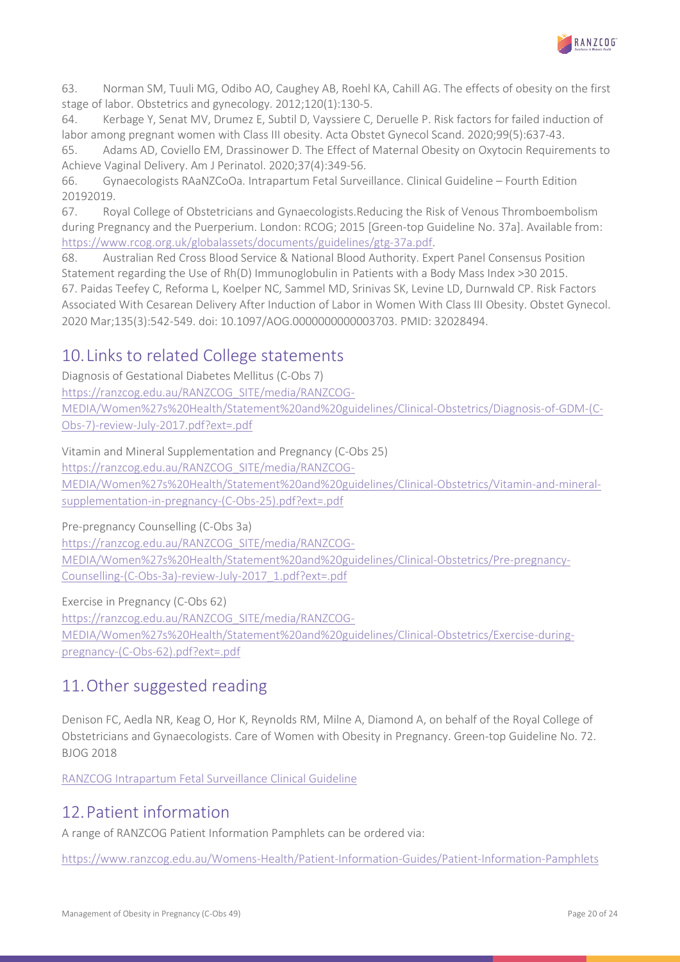

<span id="page-19-0"></span>63. Norman SM, Tuuli MG, Odibo AO, Caughey AB, Roehl KA, Cahill AG. The effects of obesity on the first stage of labor. Obstetrics and gynecology. 2012;120(1):130-5.

<span id="page-19-1"></span>64. Kerbage Y, Senat MV, Drumez E, Subtil D, Vayssiere C, Deruelle P. Risk factors for failed induction of labor among pregnant women with Class III obesity. Acta Obstet Gynecol Scand. 2020;99(5):637-43.

<span id="page-19-2"></span>65. Adams AD, Coviello EM, Drassinower D. The Effect of Maternal Obesity on Oxytocin Requirements to Achieve Vaginal Delivery. Am J Perinatol. 2020;37(4):349-56.

<span id="page-19-3"></span>66. Gynaecologists RAaNZCoOa. Intrapartum Fetal Surveillance. Clinical Guideline – Fourth Edition 20192019.

<span id="page-19-4"></span>67. Royal College of Obstetricians and Gynaecologists.Reducing the Risk of Venous Thromboembolism during Pregnancy and the Puerperium. London: RCOG; 2015 [Green-top Guideline No. 37a]. Available from: [https://www.rcog.org.uk/globalassets/documents/guidelines/gtg-37a.pdf.](https://www.rcog.org.uk/globalassets/documents/guidelines/gtg-37a.pdf)

<span id="page-19-5"></span>68. Australian Red Cross Blood Service & National Blood Authority. Expert Panel Consensus Position Statement regarding the Use of Rh(D) Immunoglobulin in Patients with a Body Mass Index >30 2015. 67. Paidas Teefey C, Reforma L, Koelper NC, Sammel MD, Srinivas SK, Levine LD, Durnwald CP. Risk Factors Associated With Cesarean Delivery After Induction of Labor in Women With Class III Obesity. Obstet Gynecol. 2020 Mar;135(3):542-549. doi: 10.1097/AOG.0000000000003703. PMID: 32028494.

## 10.Links to related College statements

Diagnosis of Gestational Diabetes Mellitus (C-Obs 7)

[https://ranzcog.edu.au/RANZCOG\\_SITE/media/RANZCOG-](https://ranzcog.edu.au/RANZCOG_SITE/media/RANZCOG-MEDIA/Women%27s%20Health/Statement%20and%20guidelines/Clinical-Obstetrics/Diagnosis-of-GDM-(C-Obs-7)-review-July-2017.pdf?ext=.pdf)

[MEDIA/Women%27s%20Health/Statement%20and%20guidelines/Clinical-Obstetrics/Diagnosis-of-GDM-\(C-](https://ranzcog.edu.au/RANZCOG_SITE/media/RANZCOG-MEDIA/Women%27s%20Health/Statement%20and%20guidelines/Clinical-Obstetrics/Diagnosis-of-GDM-(C-Obs-7)-review-July-2017.pdf?ext=.pdf)[Obs-7\)-review-July-2017.pdf?ext=.pdf](https://ranzcog.edu.au/RANZCOG_SITE/media/RANZCOG-MEDIA/Women%27s%20Health/Statement%20and%20guidelines/Clinical-Obstetrics/Diagnosis-of-GDM-(C-Obs-7)-review-July-2017.pdf?ext=.pdf)

Vitamin and Mineral Supplementation and Pregnancy (C-Obs 25)

[https://ranzcog.edu.au/RANZCOG\\_SITE/media/RANZCOG-](https://ranzcog.edu.au/RANZCOG_SITE/media/RANZCOG-MEDIA/Women%27s%20Health/Statement%20and%20guidelines/Clinical-Obstetrics/Vitamin-and-mineral-supplementation-in-pregnancy-(C-Obs-25).pdf?ext=.pdf%20)

[MEDIA/Women%27s%20Health/Statement%20and%20guidelines/Clinical-Obstetrics/Vitamin-and-mineral](https://ranzcog.edu.au/RANZCOG_SITE/media/RANZCOG-MEDIA/Women%27s%20Health/Statement%20and%20guidelines/Clinical-Obstetrics/Vitamin-and-mineral-supplementation-in-pregnancy-(C-Obs-25).pdf?ext=.pdf%20)[supplementation-in-pregnancy-\(C-Obs-25\).pdf?ext=.pdf](https://ranzcog.edu.au/RANZCOG_SITE/media/RANZCOG-MEDIA/Women%27s%20Health/Statement%20and%20guidelines/Clinical-Obstetrics/Vitamin-and-mineral-supplementation-in-pregnancy-(C-Obs-25).pdf?ext=.pdf%20)

Pre-pregnancy Counselling (C-Obs 3a)

[https://ranzcog.edu.au/RANZCOG\\_SITE/media/RANZCOG-](https://ranzcog.edu.au/RANZCOG_SITE/media/RANZCOG-MEDIA/Women%27s%20Health/Statement%20and%20guidelines/Clinical-Obstetrics/Pre-pregnancy-Counselling-(C-Obs-3a)-review-July-2017_1.pdf?ext=.pdf)[MEDIA/Women%27s%20Health/Statement%20and%20guidelines/Clinical-Obstetrics/Pre-pregnancy-](https://ranzcog.edu.au/RANZCOG_SITE/media/RANZCOG-MEDIA/Women%27s%20Health/Statement%20and%20guidelines/Clinical-Obstetrics/Pre-pregnancy-Counselling-(C-Obs-3a)-review-July-2017_1.pdf?ext=.pdf)[Counselling-\(C-Obs-3a\)-review-July-2017\\_1.pdf?ext=.pdf](https://ranzcog.edu.au/RANZCOG_SITE/media/RANZCOG-MEDIA/Women%27s%20Health/Statement%20and%20guidelines/Clinical-Obstetrics/Pre-pregnancy-Counselling-(C-Obs-3a)-review-July-2017_1.pdf?ext=.pdf)

Exercise in Pregnancy (C-Obs 62)

[https://ranzcog.edu.au/RANZCOG\\_SITE/media/RANZCOG-](https://ranzcog.edu.au/RANZCOG_SITE/media/RANZCOG-MEDIA/Women%27s%20Health/Statement%20and%20guidelines/Clinical-Obstetrics/Exercise-during-pregnancy-(C-Obs-62).pdf?ext=.pdf)[MEDIA/Women%27s%20Health/Statement%20and%20guidelines/Clinical-Obstetrics/Exercise-during](https://ranzcog.edu.au/RANZCOG_SITE/media/RANZCOG-MEDIA/Women%27s%20Health/Statement%20and%20guidelines/Clinical-Obstetrics/Exercise-during-pregnancy-(C-Obs-62).pdf?ext=.pdf)[pregnancy-\(C-Obs-62\).pdf?ext=.pdf](https://ranzcog.edu.au/RANZCOG_SITE/media/RANZCOG-MEDIA/Women%27s%20Health/Statement%20and%20guidelines/Clinical-Obstetrics/Exercise-during-pregnancy-(C-Obs-62).pdf?ext=.pdf)

## 11.Other suggested reading

Denison FC, Aedla NR, Keag O, Hor K, Reynolds RM, Milne A, Diamond A, on behalf of the Royal College of Obstetricians and Gynaecologists. Care of Women with Obesity in Pregnancy. Green-top Guideline No. 72. BJOG 2018

[RANZCOG Intrapartum Fetal Surveillance Clinical Guideline](https://fsep.ranzcog.edu.au/FSEP/media/FSEP/IFS%20Clinical%20Guideline/FINAL-RANZCOG-IFS-Clinical-Guideline-2019.pdf)

## 12.Patient information

A range of RANZCOG Patient Information Pamphlets can be ordered via:

<https://www.ranzcog.edu.au/Womens-Health/Patient-Information-Guides/Patient-Information-Pamphlets>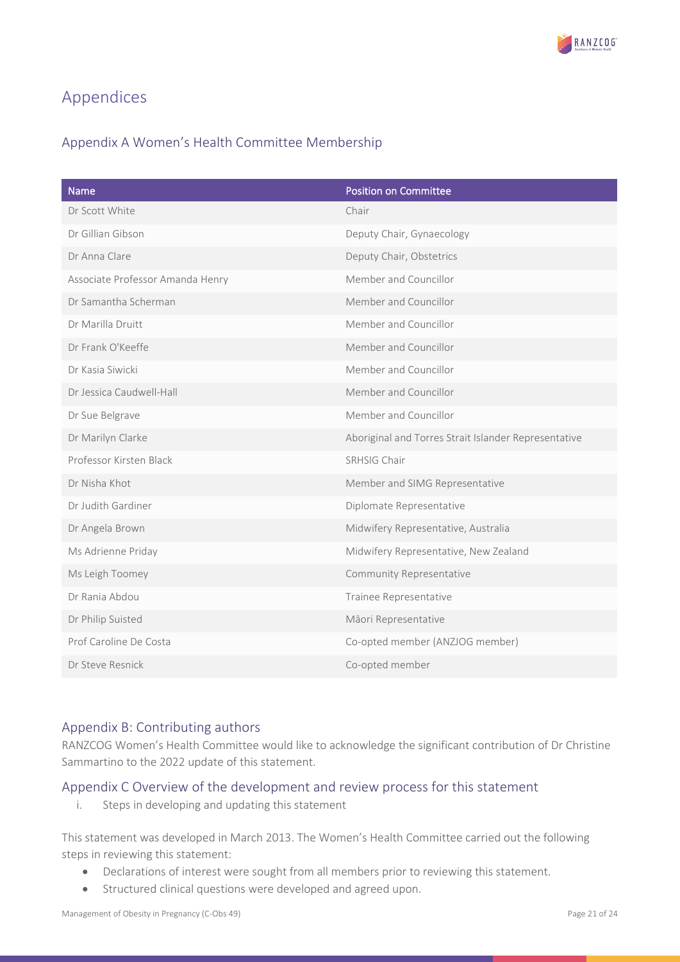

## Appendices

## Appendix A Women's Health Committee Membership

| <b>Name</b>                      | <b>Position on Committee</b>                         |
|----------------------------------|------------------------------------------------------|
| Dr Scott White                   | Chair                                                |
| Dr Gillian Gibson                | Deputy Chair, Gynaecology                            |
| Dr Anna Clare                    | Deputy Chair, Obstetrics                             |
| Associate Professor Amanda Henry | Member and Councillor                                |
| Dr Samantha Scherman             | Member and Councillor                                |
| Dr Marilla Druitt                | Member and Councillor                                |
| Dr Frank O'Keeffe                | Member and Councillor                                |
| Dr Kasia Siwicki                 | Member and Councillor                                |
| Dr Jessica Caudwell-Hall         | Member and Councillor                                |
| Dr Sue Belgrave                  | Member and Councillor                                |
| Dr Marilyn Clarke                | Aboriginal and Torres Strait Islander Representative |
| Professor Kirsten Black          | SRHSIG Chair                                         |
| Dr Nisha Khot                    | Member and SIMG Representative                       |
| Dr Judith Gardiner               | Diplomate Representative                             |
| Dr Angela Brown                  | Midwifery Representative, Australia                  |
| Ms Adrienne Priday               | Midwifery Representative, New Zealand                |
| Ms Leigh Toomey                  | Community Representative                             |
| Dr Rania Abdou                   | Trainee Representative                               |
| Dr Philip Suisted                | Māori Representative                                 |
| Prof Caroline De Costa           | Co-opted member (ANZJOG member)                      |
| Dr Steve Resnick                 | Co-opted member                                      |

#### Appendix B: Contributing authors

RANZCOG Women's Health Committee would like to acknowledge the significant contribution of Dr Christine Sammartino to the 2022 update of this statement.

#### Appendix C Overview of the development and review process for this statement

i. Steps in developing and updating this statement

This statement was developed in March 2013. The Women's Health Committee carried out the following steps in reviewing this statement:

- Declarations of interest were sought from all members prior to reviewing this statement.
- Structured clinical questions were developed and agreed upon.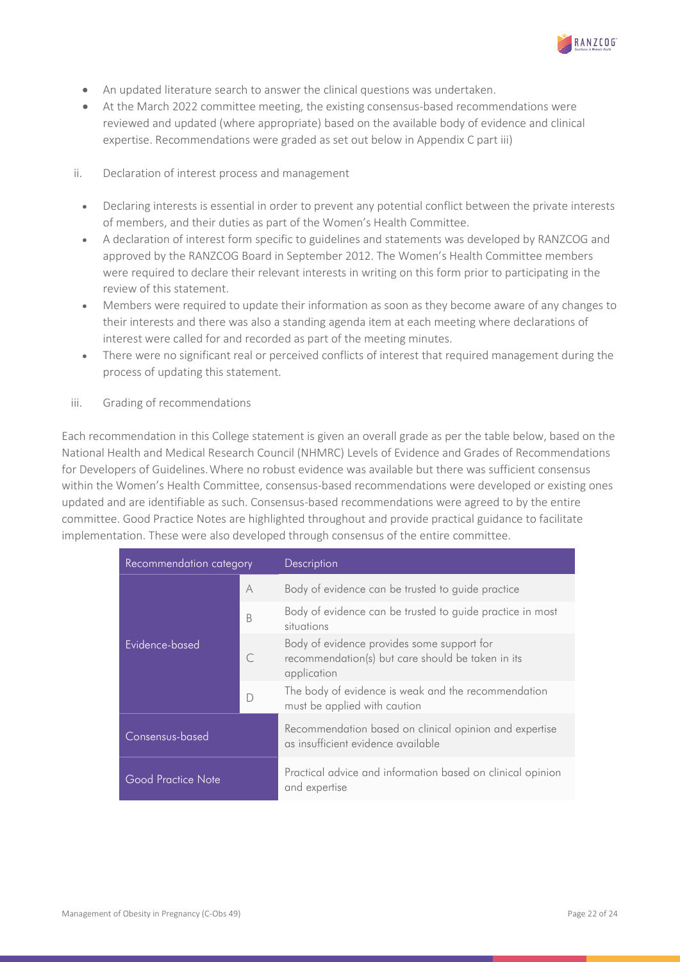

- An updated literature search to answer the clinical questions was undertaken.
- At the March 2022 committee meeting, the existing consensus-based recommendations were reviewed and updated (where appropriate) based on the available body of evidence and clinical expertise. Recommendations were graded as set out below in Appendix C part iii)
- ii. Declaration of interest process and management
	- Declaring interests is essential in order to prevent any potential conflict between the private interests of members, and their duties as part of the Women's Health Committee.
	- A declaration of interest form specific to guidelines and statements was developed by RANZCOG and approved by the RANZCOG Board in September 2012. The Women's Health Committee members were required to declare their relevant interests in writing on this form prior to participating in the review of this statement.
	- Members were required to update their information as soon as they become aware of any changes to their interests and there was also a standing agenda item at each meeting where declarations of interest were called for and recorded as part of the meeting minutes.
	- There were no significant real or perceived conflicts of interest that required management during the process of updating this statement.
- iii. Grading of recommendations

Each recommendation in this College statement is given an overall grade as per the table below, based on the National Health and Medical Research Council (NHMRC) Levels of Evidence and Grades of Recommendations for Developers of Guidelines.Where no robust evidence was available but there was sufficient consensus within the Women's Health Committee, consensus-based recommendations were developed or existing ones updated and are identifiable as such. Consensus-based recommendations were agreed to by the entire committee. Good Practice Notes are highlighted throughout and provide practical guidance to facilitate implementation. These were also developed through consensus of the entire committee.

| Recommendation category |           | <b>Description</b>                                                                                             |
|-------------------------|-----------|----------------------------------------------------------------------------------------------------------------|
| Evidence-based          | A         | Body of evidence can be trusted to guide practice                                                              |
|                         | B         | Body of evidence can be trusted to guide practice in most<br>situations                                        |
|                         | $\subset$ | Body of evidence provides some support for<br>recommendation(s) but care should be taken in its<br>application |
|                         | D         | The body of evidence is weak and the recommendation<br>must be applied with caution                            |
| Consensus-based         |           | Recommendation based on clinical opinion and expertise<br>as insufficient evidence available                   |
| Good Practice Note      |           | Practical advice and information based on clinical opinion<br>and expertise                                    |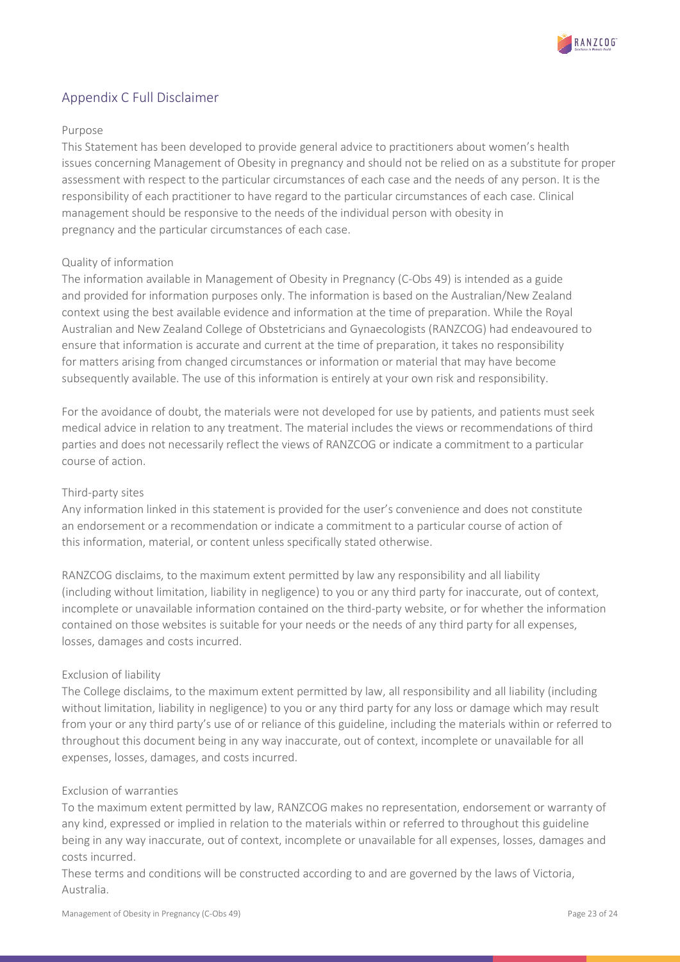

### Appendix C Full Disclaimer

#### Purpose

This Statement has been developed to provide general advice to practitioners about women's health issues concerning Management of Obesity in pregnancy and should not be relied on as a substitute for proper assessment with respect to the particular circumstances of each case and the needs of any person. It is the responsibility of each practitioner to have regard to the particular circumstances of each case. Clinical management should be responsive to the needs of the individual person with obesity in pregnancy and the particular circumstances of each case.

#### Quality of information

The information available in Management of Obesity in Pregnancy (C-Obs 49) is intended as a guide and provided for information purposes only. The information is based on the Australian/New Zealand context using the best available evidence and information at the time of preparation. While the Royal Australian and New Zealand College of Obstetricians and Gynaecologists (RANZCOG) had endeavoured to ensure that information is accurate and current at the time of preparation, it takes no responsibility for matters arising from changed circumstances or information or material that may have become subsequently available. The use of this information is entirely at your own risk and responsibility.

For the avoidance of doubt, the materials were not developed for use by patients, and patients must seek medical advice in relation to any treatment. The material includes the views or recommendations of third parties and does not necessarily reflect the views of RANZCOG or indicate a commitment to a particular course of action.

#### Third-party sites

Any information linked in this statement is provided for the user's convenience and does not constitute an endorsement or a recommendation or indicate a commitment to a particular course of action of this information, material, or content unless specifically stated otherwise.

RANZCOG disclaims, to the maximum extent permitted by law any responsibility and all liability (including without limitation, liability in negligence) to you or any third party for inaccurate, out of context, incomplete or unavailable information contained on the third-party website, or for whether the information contained on those websites is suitable for your needs or the needs of any third party for all expenses, losses, damages and costs incurred.

#### Exclusion of liability

The College disclaims, to the maximum extent permitted by law, all responsibility and all liability (including without limitation, liability in negligence) to you or any third party for any loss or damage which may result from your or any third party's use of or reliance of this guideline, including the materials within or referred to throughout this document being in any way inaccurate, out of context, incomplete or unavailable for all expenses, losses, damages, and costs incurred.

#### Exclusion of warranties

To the maximum extent permitted by law, RANZCOG makes no representation, endorsement or warranty of any kind, expressed or implied in relation to the materials within or referred to throughout this guideline being in any way inaccurate, out of context, incomplete or unavailable for all expenses, losses, damages and costs incurred.

These terms and conditions will be constructed according to and are governed by the laws of Victoria, Australia.